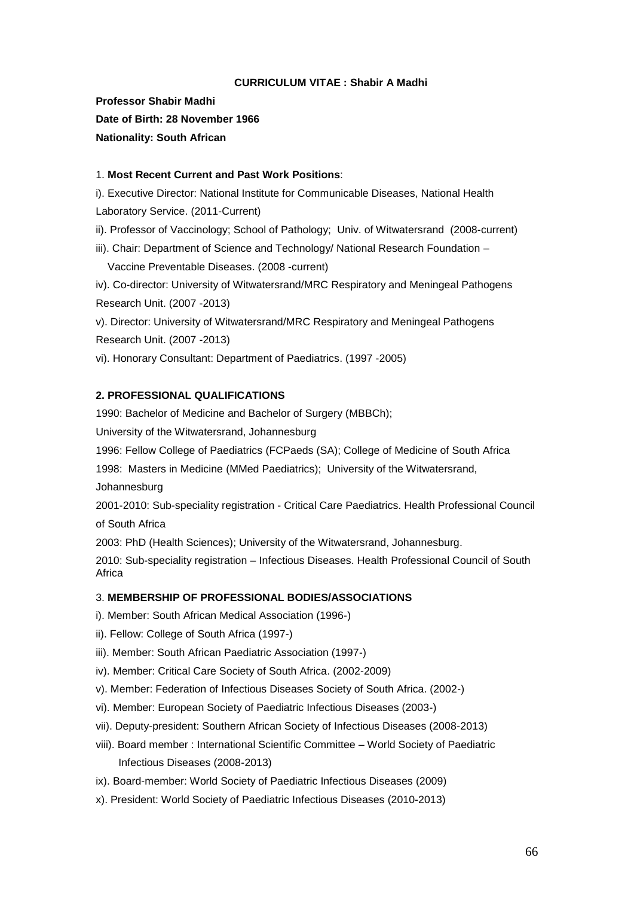### **CURRICULUM VITAE : Shabir A Madhi**

**Professor Shabir Madhi Date of Birth: 28 November 1966 Nationality: South African**

### 1. **Most Recent Current and Past Work Positions**:

i). Executive Director: National Institute for Communicable Diseases, National Health Laboratory Service. (2011-Current)

ii). Professor of Vaccinology; School of Pathology; Univ. of Witwatersrand (2008-current)

iii). Chair: Department of Science and Technology/ National Research Foundation – Vaccine Preventable Diseases. (2008 -current)

iv). Co-director: University of Witwatersrand/MRC Respiratory and Meningeal Pathogens Research Unit. (2007 -2013)

v). Director: University of Witwatersrand/MRC Respiratory and Meningeal Pathogens Research Unit. (2007 -2013)

vi). Honorary Consultant: Department of Paediatrics. (1997 -2005)

### **2. PROFESSIONAL QUALIFICATIONS**

1990: Bachelor of Medicine and Bachelor of Surgery (MBBCh);

University of the Witwatersrand, Johannesburg

1996: Fellow College of Paediatrics (FCPaeds (SA); College of Medicine of South Africa

1998: Masters in Medicine (MMed Paediatrics); University of the Witwatersrand,

Johannesburg

2001-2010: Sub-speciality registration - Critical Care Paediatrics. Health Professional Council of South Africa

2003: PhD (Health Sciences); University of the Witwatersrand, Johannesburg.

2010: Sub-speciality registration – Infectious Diseases. Health Professional Council of South Africa

#### 3. **MEMBERSHIP OF PROFESSIONAL BODIES/ASSOCIATIONS**

- i). Member: South African Medical Association (1996-)
- ii). Fellow: College of South Africa (1997-)
- iii). Member: South African Paediatric Association (1997-)
- iv). Member: Critical Care Society of South Africa. (2002-2009)
- v). Member: Federation of Infectious Diseases Society of South Africa. (2002-)
- vi). Member: European Society of Paediatric Infectious Diseases (2003-)
- vii). Deputy-president: Southern African Society of Infectious Diseases (2008-2013)
- viii). Board member : International Scientific Committee World Society of Paediatric Infectious Diseases (2008-2013)
- ix). Board-member: World Society of Paediatric Infectious Diseases (2009)
- x). President: World Society of Paediatric Infectious Diseases (2010-2013)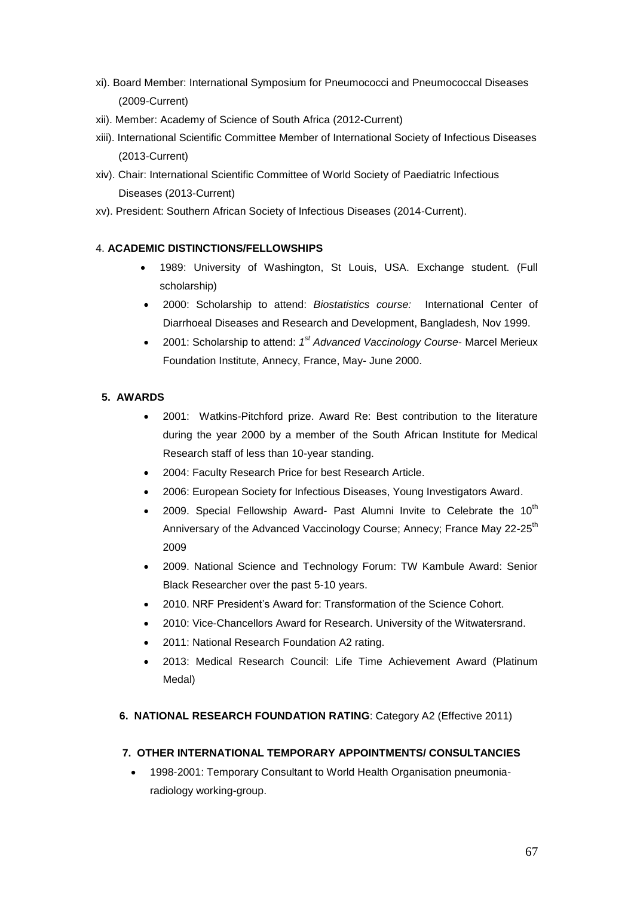- xi). Board Member: International Symposium for Pneumococci and Pneumococcal Diseases (2009-Current)
- xii). Member: Academy of Science of South Africa (2012-Current)
- xiii). International Scientific Committee Member of International Society of Infectious Diseases (2013-Current)
- xiv). Chair: International Scientific Committee of World Society of Paediatric Infectious Diseases (2013-Current)
- xv). President: Southern African Society of Infectious Diseases (2014-Current).

## 4. **ACADEMIC DISTINCTIONS/FELLOWSHIPS**

- 1989: University of Washington, St Louis, USA. Exchange student. (Full scholarship)
- 2000: Scholarship to attend: *Biostatistics course:* International Center of Diarrhoeal Diseases and Research and Development, Bangladesh, Nov 1999.
- 2001: Scholarship to attend: 1<sup>st</sup> Advanced Vaccinology Course- Marcel Merieux Foundation Institute, Annecy, France, May- June 2000.

## **5. AWARDS**

- 2001: Watkins-Pitchford prize. Award Re: Best contribution to the literature during the year 2000 by a member of the South African Institute for Medical Research staff of less than 10-year standing.
- 2004: Faculty Research Price for best Research Article.
- 2006: European Society for Infectious Diseases, Young Investigators Award.
- 2009. Special Fellowship Award- Past Alumni Invite to Celebrate the 10<sup>th</sup> Anniversary of the Advanced Vaccinology Course; Annecy; France May 22-25<sup>th</sup> 2009
- 2009. National Science and Technology Forum: TW Kambule Award: Senior Black Researcher over the past 5-10 years.
- 2010. NRF President's Award for: Transformation of the Science Cohort.
- 2010: Vice-Chancellors Award for Research. University of the Witwatersrand.
- 2011: National Research Foundation A2 rating.
- 2013: Medical Research Council: Life Time Achievement Award (Platinum Medal)
- **6. NATIONAL RESEARCH FOUNDATION RATING**: Category A2 (Effective 2011)

## **7. OTHER INTERNATIONAL TEMPORARY APPOINTMENTS/ CONSULTANCIES**

 1998-2001: Temporary Consultant to World Health Organisation pneumoniaradiology working-group.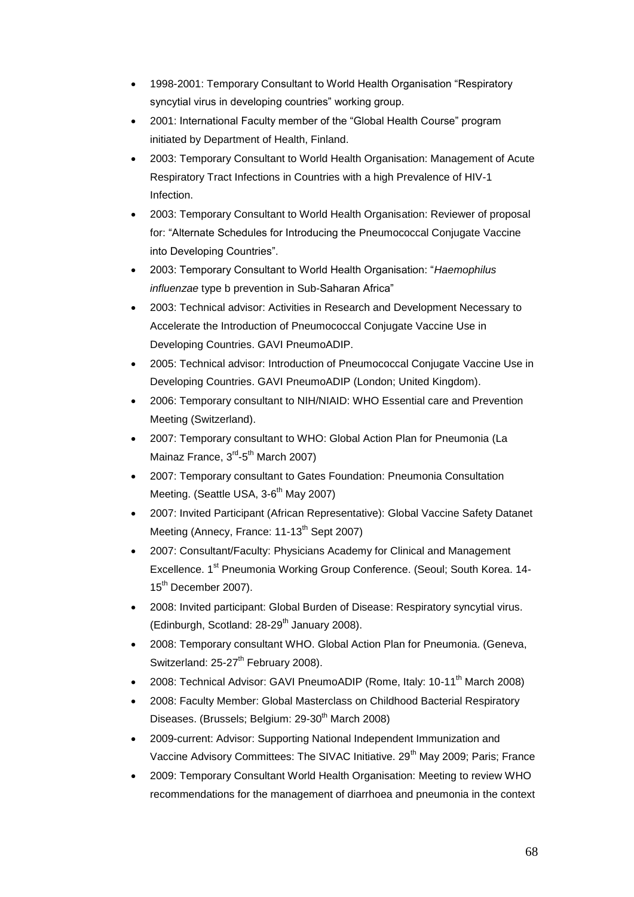- 1998-2001: Temporary Consultant to World Health Organisation "Respiratory syncytial virus in developing countries" working group.
- 2001: International Faculty member of the "Global Health Course" program initiated by Department of Health, Finland.
- 2003: Temporary Consultant to World Health Organisation: Management of Acute Respiratory Tract Infections in Countries with a high Prevalence of HIV-1 Infection.
- 2003: Temporary Consultant to World Health Organisation: Reviewer of proposal for: "Alternate Schedules for Introducing the Pneumococcal Conjugate Vaccine into Developing Countries".
- 2003: Temporary Consultant to World Health Organisation: "*Haemophilus influenzae* type b prevention in Sub-Saharan Africa"
- 2003: Technical advisor: Activities in Research and Development Necessary to Accelerate the Introduction of Pneumococcal Conjugate Vaccine Use in Developing Countries. GAVI PneumoADIP.
- 2005: Technical advisor: Introduction of Pneumococcal Conjugate Vaccine Use in Developing Countries. GAVI PneumoADIP (London; United Kingdom).
- 2006: Temporary consultant to NIH/NIAID: WHO Essential care and Prevention Meeting (Switzerland).
- 2007: Temporary consultant to WHO: Global Action Plan for Pneumonia (La Mainaz France, 3<sup>rd</sup>-5<sup>th</sup> March 2007)
- 2007: Temporary consultant to Gates Foundation: Pneumonia Consultation Meeting. (Seattle USA, 3-6<sup>th</sup> May 2007)
- 2007: Invited Participant (African Representative): Global Vaccine Safety Datanet Meeting (Annecy, France: 11-13<sup>th</sup> Sept 2007)
- 2007: Consultant/Faculty: Physicians Academy for Clinical and Management Excellence. 1<sup>st</sup> Pneumonia Working Group Conference. (Seoul: South Korea. 14-15<sup>th</sup> December 2007).
- 2008: Invited participant: Global Burden of Disease: Respiratory syncytial virus. (Edinburgh, Scotland:  $28-29^{th}$  January 2008).
- 2008: Temporary consultant WHO. Global Action Plan for Pneumonia. (Geneva, Switzerland: 25-27<sup>th</sup> February 2008).
- 2008: Technical Advisor: GAVI PneumoADIP (Rome, Italy: 10-11<sup>th</sup> March 2008)
- 2008: Faculty Member: Global Masterclass on Childhood Bacterial Respiratory Diseases. (Brussels; Belgium: 29-30<sup>th</sup> March 2008)
- 2009-current: Advisor: Supporting National Independent Immunization and Vaccine Advisory Committees: The SIVAC Initiative. 29<sup>th</sup> May 2009; Paris; France
- 2009: Temporary Consultant World Health Organisation: Meeting to review WHO recommendations for the management of diarrhoea and pneumonia in the context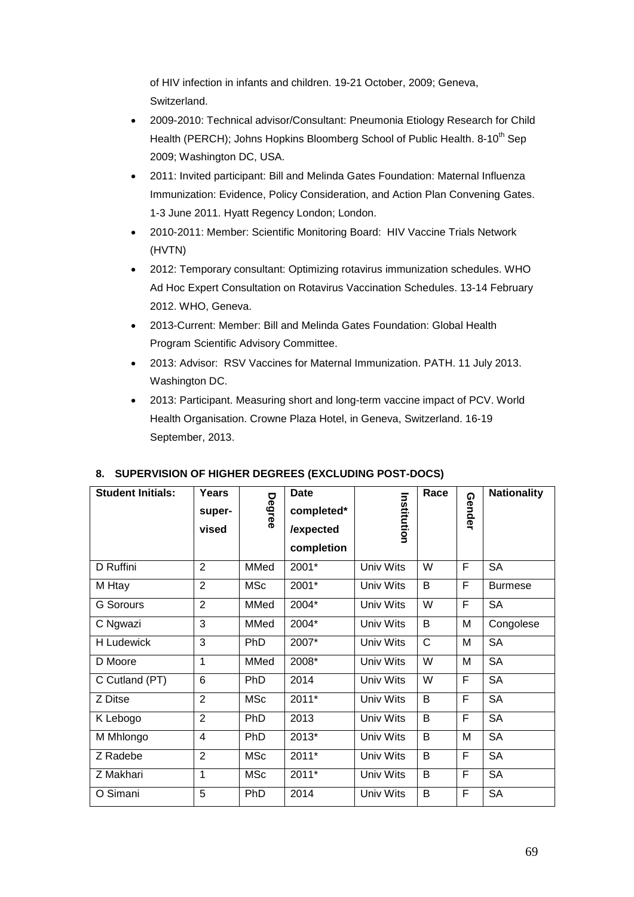of HIV infection in infants and children. 19-21 October, 2009; Geneva, Switzerland.

- 2009-2010: Technical advisor/Consultant: Pneumonia Etiology Research for Child Health (PERCH); Johns Hopkins Bloomberg School of Public Health. 8-10<sup>th</sup> Sep 2009; Washington DC, USA.
- 2011: Invited participant: Bill and Melinda Gates Foundation: Maternal Influenza Immunization: Evidence, Policy Consideration, and Action Plan Convening Gates. 1-3 June 2011. Hyatt Regency London; London.
- 2010-2011: Member: Scientific Monitoring Board: HIV Vaccine Trials Network (HVTN)
- 2012: Temporary consultant: Optimizing rotavirus immunization schedules. WHO Ad Hoc Expert Consultation on Rotavirus Vaccination Schedules. 13-14 February 2012. WHO, Geneva.
- 2013-Current: Member: Bill and Melinda Gates Foundation: Global Health Program Scientific Advisory Committee.
- 2013: Advisor: RSV Vaccines for Maternal Immunization. PATH. 11 July 2013. Washington DC.
- 2013: Participant. Measuring short and long-term vaccine impact of PCV. World Health Organisation. Crowne Plaza Hotel, in Geneva, Switzerland. 16-19 September, 2013.

| <b>Student Initials:</b> | Years<br>super-<br>vised | Degree     | <b>Date</b><br>completed*<br>/expected<br>completion | Institution | Race         | Gender | <b>Nationality</b> |
|--------------------------|--------------------------|------------|------------------------------------------------------|-------------|--------------|--------|--------------------|
| D Ruffini                | $\overline{2}$           | MMed       | 2001*                                                | Univ Wits   | W            | F      | <b>SA</b>          |
| M Htay                   | $\overline{2}$           | <b>MSc</b> | 2001*                                                | Univ Wits   | B            | F      | <b>Burmese</b>     |
| <b>G</b> Sorours         | $\overline{2}$           | MMed       | 2004*                                                | Univ Wits   | W            | F      | <b>SA</b>          |
| C Ngwazi                 | 3                        | MMed       | 2004*                                                | Univ Wits   | B            | M      | Congolese          |
| <b>H</b> Ludewick        | 3                        | PhD        | 2007*                                                | Univ Wits   | $\mathsf{C}$ | M      | <b>SA</b>          |
| D Moore                  | $\mathbf{1}$             | MMed       | 2008*                                                | Univ Wits   | W            | M      | <b>SA</b>          |
| C Cutland (PT)           | 6                        | <b>PhD</b> | 2014                                                 | Univ Wits   | W            | F      | <b>SA</b>          |
| Z Ditse                  | $\overline{2}$           | <b>MSc</b> | $2011*$                                              | Univ Wits   | B            | F      | <b>SA</b>          |
| K Lebogo                 | $\overline{2}$           | PhD        | 2013                                                 | Univ Wits   | B            | F      | <b>SA</b>          |
| M Mhlongo                | $\overline{4}$           | PhD        | 2013*                                                | Univ Wits   | B            | M      | <b>SA</b>          |
| Z Radebe                 | $\overline{2}$           | <b>MSc</b> | 2011*                                                | Univ Wits   | B            | F      | <b>SA</b>          |
| Z Makhari                | 1                        | <b>MSc</b> | 2011*                                                | Univ Wits   | B            | F      | <b>SA</b>          |
| O Simani                 | 5                        | PhD        | 2014                                                 | Univ Wits   | B            | F      | <b>SA</b>          |

# **8. SUPERVISION OF HIGHER DEGREES (EXCLUDING POST-DOCS)**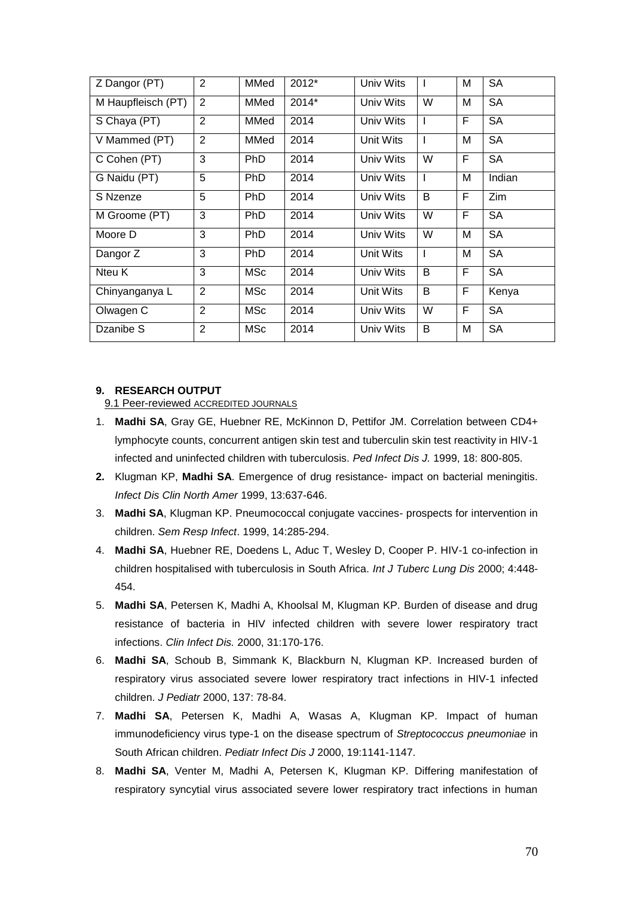| Z Dangor (PT)      | $\overline{2}$ | MMed       | 2012*   | Univ Wits | L            | M | <b>SA</b> |
|--------------------|----------------|------------|---------|-----------|--------------|---|-----------|
| M Haupfleisch (PT) | $\overline{2}$ | MMed       | $2014*$ | Univ Wits | W            | М | <b>SA</b> |
| S Chaya (PT)       | $\overline{2}$ | MMed       | 2014    | Univ Wits | $\mathbf{I}$ | F | <b>SA</b> |
| V Mammed (PT)      | 2              | MMed       | 2014    | Unit Wits | L            | Μ | <b>SA</b> |
| C Cohen (PT)       | 3              | <b>PhD</b> | 2014    | Univ Wits | W            | F | <b>SA</b> |
| G Naidu (PT)       | 5              | <b>PhD</b> | 2014    | Univ Wits | L            | М | Indian    |
| S Nzenze           | 5              | <b>PhD</b> | 2014    | Univ Wits | B            | F | Zim       |
| M Groome (PT)      | 3              | <b>PhD</b> | 2014    | Univ Wits | W            | F | <b>SA</b> |
| Moore D            | 3              | <b>PhD</b> | 2014    | Univ Wits | W            | М | <b>SA</b> |
| Dangor Z           | 3              | <b>PhD</b> | 2014    | Unit Wits | L            | Μ | <b>SA</b> |
| Nteu K             | 3              | <b>MSc</b> | 2014    | Univ Wits | B            | F | <b>SA</b> |
| Chinyanganya L     | $\overline{2}$ | <b>MSc</b> | 2014    | Unit Wits | B            | F | Kenya     |
| Olwagen C          | $\overline{2}$ | MSc        | 2014    | Univ Wits | W            | F | <b>SA</b> |
| Dzanibe S          | $\overline{2}$ | MSc        | 2014    | Univ Wits | B            | М | <b>SA</b> |

### **9. RESEARCH OUTPUT**

9.1 Peer-reviewed ACCREDITED JOURNALS

- 1. **Madhi SA**, Gray GE, Huebner RE, McKinnon D, Pettifor JM. Correlation between CD4+ lymphocyte counts, concurrent antigen skin test and tuberculin skin test reactivity in HIV-1 infected and uninfected children with tuberculosis. *Ped Infect Dis J.* 1999, 18: 800-805.
- **2.** Klugman KP, **Madhi SA**. Emergence of drug resistance- impact on bacterial meningitis. *Infect Dis Clin North Amer* 1999, 13:637-646.
- 3. **Madhi SA**, Klugman KP. Pneumococcal conjugate vaccines- prospects for intervention in children. *Sem Resp Infect*. 1999, 14:285-294.
- 4. **Madhi SA**, Huebner RE, Doedens L, Aduc T, Wesley D, Cooper P. HIV-1 co-infection in children hospitalised with tuberculosis in South Africa. *Int J Tuberc Lung Dis* 2000; 4:448- 454.
- 5. **Madhi SA**, Petersen K, Madhi A, Khoolsal M, Klugman KP. Burden of disease and drug resistance of bacteria in HIV infected children with severe lower respiratory tract infections. *Clin Infect Dis.* 2000, 31:170-176.
- 6. **Madhi SA**, Schoub B, Simmank K, Blackburn N, Klugman KP. Increased burden of respiratory virus associated severe lower respiratory tract infections in HIV-1 infected children. *J Pediatr* 2000, 137: 78-84.
- 7. **Madhi SA**, Petersen K, Madhi A, Wasas A, Klugman KP. Impact of human immunodeficiency virus type-1 on the disease spectrum of *Streptococcus pneumoniae* in South African children. *Pediatr Infect Dis J* 2000, 19:1141-1147.
- 8. **Madhi SA**, Venter M, Madhi A, Petersen K, Klugman KP. Differing manifestation of respiratory syncytial virus associated severe lower respiratory tract infections in human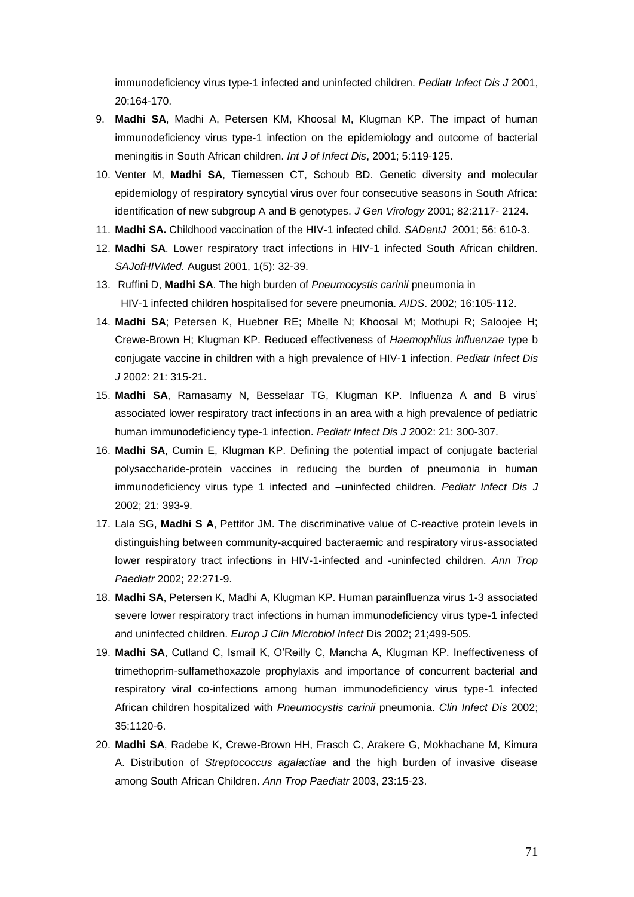immunodeficiency virus type-1 infected and uninfected children. *Pediatr Infect Dis J* 2001, 20:164-170.

- 9. **Madhi SA**, Madhi A, Petersen KM, Khoosal M, Klugman KP. The impact of human immunodeficiency virus type-1 infection on the epidemiology and outcome of bacterial meningitis in South African children. *Int J of Infect Dis*, 2001; 5:119-125.
- 10. Venter M, **Madhi SA**, Tiemessen CT, Schoub BD. Genetic diversity and molecular epidemiology of respiratory syncytial virus over four consecutive seasons in South Africa: identification of new subgroup A and B genotypes. *J Gen Virology* 2001; 82:2117- 2124.
- 11. **Madhi SA.** Childhood vaccination of the HIV-1 infected child. *SADentJ* 2001; 56: 610-3.
- 12. **Madhi SA**. Lower respiratory tract infections in HIV-1 infected South African children. *SAJofHIVMed.* August 2001, 1(5): 32-39.
- 13. Ruffini D, **Madhi SA**. The high burden of *Pneumocystis carinii* pneumonia in HIV-1 infected children hospitalised for severe pneumonia. *AIDS*. 2002; 16:105-112.
- 14. **Madhi SA**; Petersen K, Huebner RE; Mbelle N; Khoosal M; Mothupi R; Saloojee H; Crewe-Brown H; Klugman KP. Reduced effectiveness of *Haemophilus influenzae* type b conjugate vaccine in children with a high prevalence of HIV-1 infection. *Pediatr Infect Dis J* 2002: 21: 315-21.
- 15. **Madhi SA**, Ramasamy N, Besselaar TG, Klugman KP. Influenza A and B virus' associated lower respiratory tract infections in an area with a high prevalence of pediatric human immunodeficiency type-1 infection. *Pediatr Infect Dis J* 2002: 21: 300-307.
- 16. **Madhi SA**, Cumin E, Klugman KP. Defining the potential impact of conjugate bacterial polysaccharide-protein vaccines in reducing the burden of pneumonia in human immunodeficiency virus type 1 infected and –uninfected children. *Pediatr Infect Dis J*  2002; 21: 393-9.
- 17. Lala SG, **Madhi S A**, Pettifor JM. The discriminative value of C-reactive protein levels in distinguishing between community-acquired bacteraemic and respiratory virus-associated lower respiratory tract infections in HIV-1-infected and -uninfected children. *Ann Trop Paediatr* 2002; 22:271-9.
- 18. **Madhi SA**, Petersen K, Madhi A, Klugman KP. Human parainfluenza virus 1-3 associated severe lower respiratory tract infections in human immunodeficiency virus type-1 infected and uninfected children. *Europ J Clin Microbiol Infect* Dis 2002; 21;499-505.
- 19. **Madhi SA**, Cutland C, Ismail K, O'Reilly C, Mancha A, Klugman KP. Ineffectiveness of trimethoprim-sulfamethoxazole prophylaxis and importance of concurrent bacterial and respiratory viral co-infections among human immunodeficiency virus type-1 infected African children hospitalized with *Pneumocystis carinii* pneumonia. *Clin Infect Dis* 2002; 35:1120-6.
- 20. **Madhi SA**, Radebe K, Crewe-Brown HH, Frasch C, Arakere G, Mokhachane M, Kimura A. Distribution of *Streptococcus agalactiae* and the high burden of invasive disease among South African Children. *Ann Trop Paediatr* 2003, 23:15-23.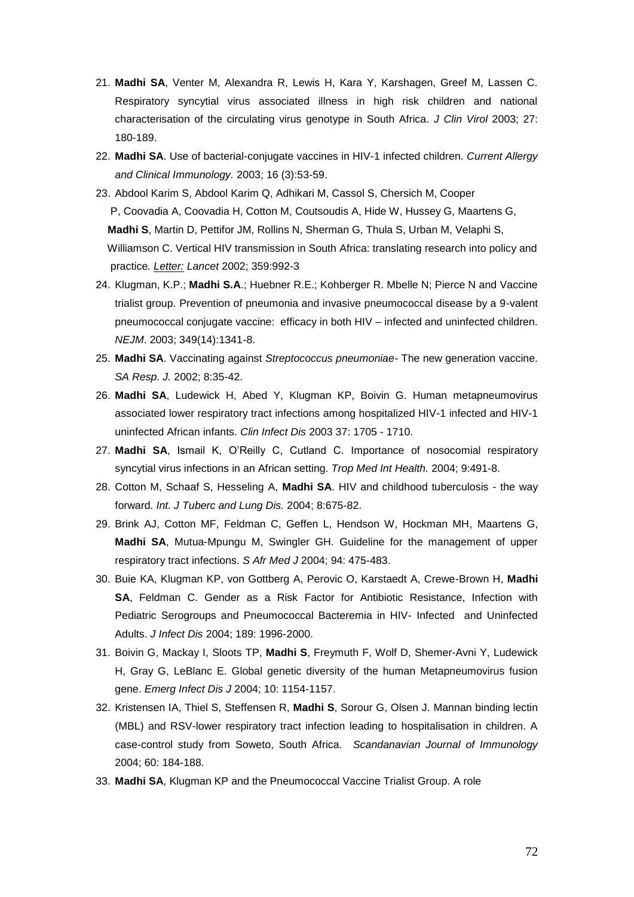- 21. **Madhi SA**, Venter M, Alexandra R, Lewis H, Kara Y, Karshagen, Greef M, Lassen C. Respiratory syncytial virus associated illness in high risk children and national characterisation of the circulating virus genotype in South Africa. *J Clin Virol* 2003; 27: 180-189.
- 22. **Madhi SA**. Use of bacterial-conjugate vaccines in HIV-1 infected children. *Current Allergy and Clinical Immunology.* 2003; 16 (3):53-59.
- 23. Abdool Karim S, Abdool Karim Q, Adhikari M, Cassol S, Chersich M, Cooper P, Coovadia A, Coovadia H, Cotton M, Coutsoudis A, Hide W, Hussey G, Maartens G, **Madhi S**, Martin D, Pettifor JM, Rollins N, Sherman G, Thula S, Urban M, Velaphi S, Williamson C. Vertical HIV transmission in South Africa: translating research into policy and practice*. Letter: Lancet* 2002; 359:992-3
- 24. Klugman, K.P.; **Madhi S.A**.; Huebner R.E.; Kohberger R. Mbelle N; Pierce N and Vaccine trialist group. Prevention of pneumonia and invasive pneumococcal disease by a 9-valent pneumococcal conjugate vaccine: efficacy in both HIV – infected and uninfected children. *NEJM*. 2003; 349(14):1341-8.
- 25. **Madhi SA**. Vaccinating against *Streptococcus pneumoniae-* The new generation vaccine. *SA Resp. J.* 2002; 8:35-42.
- 26. **Madhi SA**, Ludewick H, Abed Y, Klugman KP, Boivin G. Human metapneumovirus associated lower respiratory tract infections among hospitalized HIV-1 infected and HIV-1 uninfected African infants. *Clin Infect Dis* 2003 37: 1705 - 1710.
- 27. **Madhi SA**, Ismail K, O'Reilly C, Cutland C. Importance of nosocomial respiratory syncytial virus infections in an African setting. *Trop Med Int Health.* 2004; 9:491-8.
- 28. Cotton M, Schaaf S, Hesseling A, **Madhi SA**. HIV and childhood tuberculosis the way forward. *Int. J Tuberc and Lung Dis.* 2004; 8:675-82.
- 29. Brink AJ, Cotton MF, Feldman C, Geffen L, Hendson W, Hockman MH, Maartens G, **Madhi SA**, Mutua-Mpungu M, Swingler GH. Guideline for the management of upper respiratory tract infections. *S Afr Med J* 2004; 94: 475-483.
- 30. Buie KA, Klugman KP, von Gottberg A, Perovic O, Karstaedt A, Crewe-Brown H, **Madhi SA**, Feldman C. Gender as a Risk Factor for Antibiotic Resistance, Infection with Pediatric Serogroups and Pneumococcal Bacteremia in HIV- Infected and Uninfected Adults. *J Infect Dis* 2004; 189: 1996-2000.
- 31. Boivin G, Mackay I, Sloots TP, **Madhi S**, Freymuth F, Wolf D, Shemer-Avni Y, Ludewick H, Gray G, LeBlanc E. Global genetic diversity of the human Metapneumovirus fusion gene. *Emerg Infect Dis J* 2004; 10: 1154-1157.
- 32. Kristensen IA, Thiel S, Steffensen R, **Madhi S**, Sorour G, Olsen J. Mannan binding lectin (MBL) and RSV-lower respiratory tract infection leading to hospitalisation in children. A case-control study from Soweto, South Africa. *Scandanavian Journal of Immunology*  2004; 60: 184-188.
- 33. **Madhi SA**, Klugman KP and the Pneumococcal Vaccine Trialist Group. A role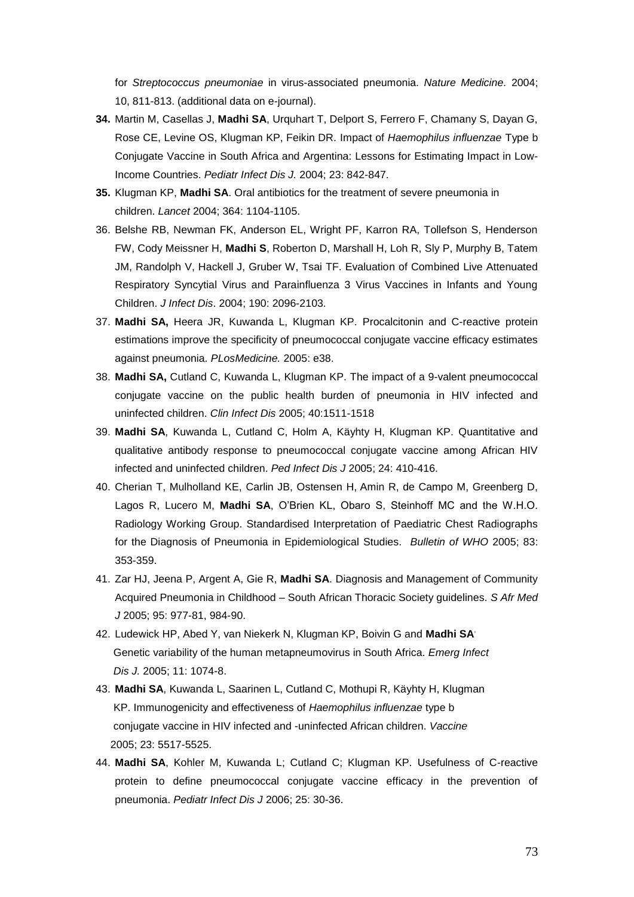for *Streptococcus pneumoniae* in virus-associated pneumonia. *Nature Medicine.* 2004; 10, 811-813. (additional data on e-journal).

- **34.** Martin M, Casellas J, **Madhi SA**, Urquhart T, Delport S, Ferrero F, Chamany S, Dayan G, Rose CE, Levine OS, Klugman KP, Feikin DR. Impact of *Haemophilus influenzae* Type b Conjugate Vaccine in South Africa and Argentina: Lessons for Estimating Impact in Low-Income Countries. *Pediatr Infect Dis J.* 2004; 23: 842-847.
- **35.** Klugman KP, **Madhi SA**. Oral antibiotics for the treatment of severe pneumonia in children. *Lancet* 2004; 364: 1104-1105.
- 36. Belshe RB, Newman FK, Anderson EL, Wright PF, Karron RA, Tollefson S, Henderson FW, Cody Meissner H, **Madhi S**, Roberton D, Marshall H, Loh R, Sly P, Murphy B, Tatem JM, Randolph V, Hackell J, Gruber W, Tsai TF. Evaluation of Combined Live Attenuated Respiratory Syncytial Virus and Parainfluenza 3 Virus Vaccines in Infants and Young Children. *J Infect Dis*. 2004; 190: 2096-2103.
- 37. **Madhi SA,** Heera JR, Kuwanda L, Klugman KP. Procalcitonin and C-reactive protein estimations improve the specificity of pneumococcal conjugate vaccine efficacy estimates against pneumonia. *PLosMedicine.* 2005: e38.
- 38. **Madhi SA,** Cutland C, Kuwanda L, Klugman KP. The impact of a 9-valent pneumococcal conjugate vaccine on the public health burden of pneumonia in HIV infected and uninfected children. *Clin Infect Dis* 2005; 40:1511-1518
- 39. **Madhi SA**, Kuwanda L, Cutland C, Holm A, Käyhty H, Klugman KP. Quantitative and qualitative antibody response to pneumococcal conjugate vaccine among African HIV infected and uninfected children. *Ped Infect Dis J* 2005; 24: 410-416.
- 40. Cherian T, Mulholland KE, Carlin JB, Ostensen H, Amin R, de Campo M, Greenberg D, Lagos R, Lucero M, **Madhi SA**, O'Brien KL, Obaro S, Steinhoff MC and the W.H.O. Radiology Working Group. Standardised Interpretation of Paediatric Chest Radiographs for the Diagnosis of Pneumonia in Epidemiological Studies. *Bulletin of WHO* 2005; 83: 353-359.
- 41. Zar HJ, Jeena P, Argent A, Gie R, **Madhi SA**. Diagnosis and Management of Community Acquired Pneumonia in Childhood – South African Thoracic Society guidelines. *S Afr Med J* 2005; 95: 977-81, 984-90.
- 42. Ludewick HP, Abed Y, van Niekerk N, Klugman KP, Boivin G and **Madhi SA**, Genetic variability of the human metapneumovirus in South Africa. *Emerg Infect Dis J.* 2005; 11: 1074-8.
- 43. **Madhi SA**, Kuwanda L, Saarinen L, Cutland C, Mothupi R, Käyhty H, Klugman KP. Immunogenicity and effectiveness of *Haemophilus influenzae* type b conjugate vaccine in HIV infected and -uninfected African children. *Vaccine* 2005; 23: 5517-5525.
- 44. **Madhi SA**, Kohler M, Kuwanda L; Cutland C; Klugman KP. Usefulness of C-reactive protein to define pneumococcal conjugate vaccine efficacy in the prevention of pneumonia. *Pediatr Infect Dis J* 2006; 25: 30-36.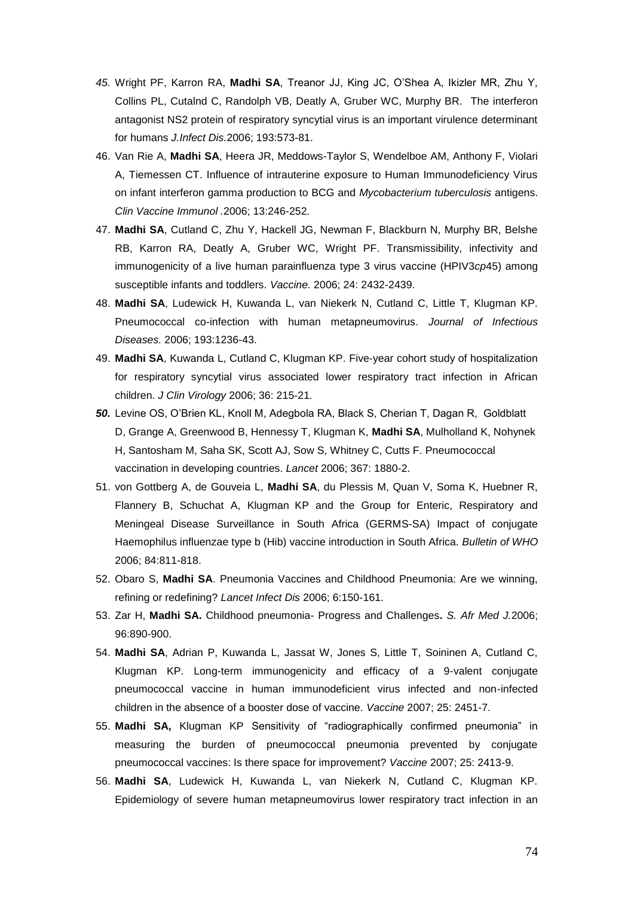- *45.* Wright PF, Karron RA, **Madhi SA**, Treanor JJ, King JC, O'Shea A, Ikizler MR, Zhu Y, Collins PL, Cutalnd C, Randolph VB, Deatly A, Gruber WC, Murphy BR. The interferon antagonist NS2 protein of respiratory syncytial virus is an important virulence determinant for humans *J.Infect Dis.*2006; 193:573-81.
- 46. Van Rie A, **Madhi SA**, Heera JR, Meddows-Taylor S, Wendelboe AM, Anthony F, Violari A, Tiemessen CT. Influence of intrauterine exposure to Human Immunodeficiency Virus on infant interferon gamma production to BCG and *Mycobacterium tuberculosis* antigens. *Clin Vaccine Immunol .*2006; 13:246-252*.*
- 47. **Madhi SA**, Cutland C, Zhu Y, Hackell JG, Newman F, Blackburn N, Murphy BR, Belshe RB, Karron RA, Deatly A, Gruber WC, Wright PF. Transmissibility, infectivity and immunogenicity of a live human parainfluenza type 3 virus vaccine (HPIV3*cp*45) among susceptible infants and toddlers. *Vaccine.* 2006; 24: 2432-2439.
- 48. **Madhi SA**, Ludewick H, Kuwanda L, van Niekerk N, Cutland C, Little T, Klugman KP. Pneumococcal co-infection with human metapneumovirus. *Journal of Infectious Diseases.* 2006; 193:1236-43.
- 49. **Madhi SA**, Kuwanda L, Cutland C, Klugman KP. Five-year cohort study of hospitalization for respiratory syncytial virus associated lower respiratory tract infection in African children. *J Clin Virology* 2006; 36: 215-21*.*
- *50.* Levine OS, O'Brien KL, Knoll M, Adegbola RA, Black S, Cherian T, Dagan R, Goldblatt D, Grange A, Greenwood B, Hennessy T, Klugman K, **Madhi SA**, Mulholland K, Nohynek H, Santosham M, Saha SK, Scott AJ, Sow S, Whitney C, Cutts F. Pneumococcal vaccination in developing countries. *Lancet* 2006; 367: 1880-2.
- 51. von Gottberg A, de Gouveia L, **Madhi SA**, du Plessis M, Quan V, Soma K, Huebner R, Flannery B, Schuchat A, Klugman KP and the Group for Enteric, Respiratory and Meningeal Disease Surveillance in South Africa (GERMS-SA) Impact of conjugate Haemophilus influenzae type b (Hib) vaccine introduction in South Africa. *Bulletin of WHO* 2006; 84:811-818.
- 52. Obaro S, **Madhi SA**. Pneumonia Vaccines and Childhood Pneumonia: Are we winning, refining or redefining? *Lancet Infect Dis* 2006; 6:150-161.
- 53. Zar H, **Madhi SA.** Childhood pneumonia- Progress and Challenges**.** *S. Afr Med J.*2006; 96:890-900.
- 54. **Madhi SA**, Adrian P, Kuwanda L, Jassat W, Jones S, Little T, Soininen A, Cutland C, Klugman KP. Long-term immunogenicity and efficacy of a 9-valent conjugate pneumococcal vaccine in human immunodeficient virus infected and non-infected children in the absence of a booster dose of vaccine. *Vaccine* 2007; 25: 2451-7.
- 55. **Madhi SA,** Klugman KP Sensitivity of "radiographically confirmed pneumonia" in measuring the burden of pneumococcal pneumonia prevented by conjugate pneumococcal vaccines: Is there space for improvement? *Vaccine* 2007; 25: 2413-9.
- 56. **Madhi SA**, Ludewick H, Kuwanda L, van Niekerk N, Cutland C, Klugman KP. Epidemiology of severe human metapneumovirus lower respiratory tract infection in an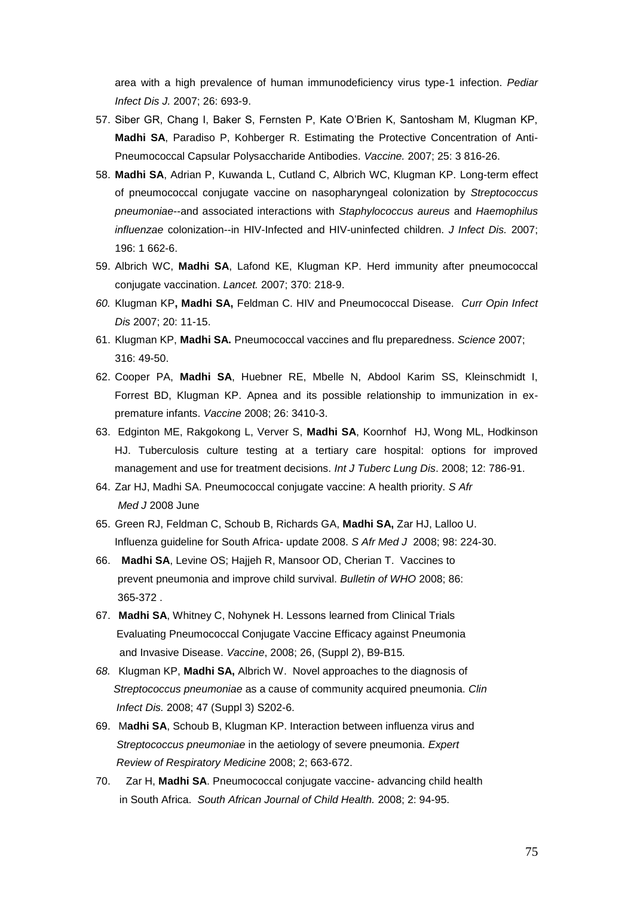area with a high prevalence of human immunodeficiency virus type-1 infection. *Pediar Infect Dis J.* 2007; 26: 693-9.

- 57. Siber GR, Chang I, Baker S, Fernsten P, Kate O'Brien K, Santosham M, Klugman KP, **Madhi SA**, Paradiso P, Kohberger R. Estimating the Protective Concentration of Anti-Pneumococcal Capsular Polysaccharide Antibodies. *Vaccine.* 2007; 25: 3 816-26.
- 58. **Madhi SA**, Adrian P, Kuwanda L, Cutland C, Albrich WC, Klugman KP. Long-term effect of pneumococcal conjugate vaccine on nasopharyngeal colonization by *Streptococcus pneumoniae*--and associated interactions with *Staphylococcus aureus* and *Haemophilus influenzae* colonization--in HIV-Infected and HIV-uninfected children. *J Infect Dis.* 2007; 196: 1 662-6.
- 59. Albrich WC, **Madhi SA**, Lafond KE, Klugman KP. Herd immunity after pneumococcal conjugate vaccination. *Lancet.* 2007; 370: 218-9.
- *60.* Klugman KP**, Madhi SA,** Feldman C. HIV and Pneumococcal Disease. *Curr Opin Infect Dis* 2007; 20: 11-15.
- 61. Klugman KP, **Madhi SA.** Pneumococcal vaccines and flu preparedness. *Science* 2007; 316: 49-50.
- 62. Cooper PA, **Madhi SA**, Huebner RE, Mbelle N, Abdool Karim SS, Kleinschmidt I, Forrest BD, Klugman KP. Apnea and its possible relationship to immunization in expremature infants. *Vaccine* 2008; 26: 3410-3.
- 63. Edginton ME, Rakgokong L, Verver S, **Madhi SA**, Koornhof HJ, Wong ML, Hodkinson HJ. Tuberculosis culture testing at a tertiary care hospital: options for improved management and use for treatment decisions. *Int J Tuberc Lung Dis*. 2008; 12: 786-91.
- 64. Zar HJ, Madhi SA. Pneumococcal conjugate vaccine: A health priority. *S Afr Med J* 2008 June
- 65. Green RJ, Feldman C, Schoub B, Richards GA, **Madhi SA,** Zar HJ, Lalloo U. Influenza guideline for South Africa- update 2008. *S Afr Med J* 2008; 98: 224-30.
- 66. **Madhi SA**, Levine OS; Hajjeh R, Mansoor OD, Cherian T. Vaccines to prevent pneumonia and improve child survival. *Bulletin of WHO* 2008; 86: 365-372 .
- 67. **Madhi SA**, Whitney C, Nohynek H. Lessons learned from Clinical Trials Evaluating Pneumococcal Conjugate Vaccine Efficacy against Pneumonia and Invasive Disease. *Vaccine*, 2008; 26, (Suppl 2), B9-B15*.*
- *68.* Klugman KP, **Madhi SA,** Albrich W. Novel approaches to the diagnosis of *Streptococcus pneumoniae* as a cause of community acquired pneumonia. *Clin Infect Dis.* 2008; 47 (Suppl 3) S202-6.
- 69. M**adhi SA**, Schoub B, Klugman KP. Interaction between influenza virus and *Streptococcus pneumoniae* in the aetiology of severe pneumonia. *Expert Review of Respiratory Medicine* 2008; 2; 663-672.
- 70. Zar H, **Madhi SA**. Pneumococcal conjugate vaccine- advancing child health in South Africa. *South African Journal of Child Health.* 2008; 2: 94-95.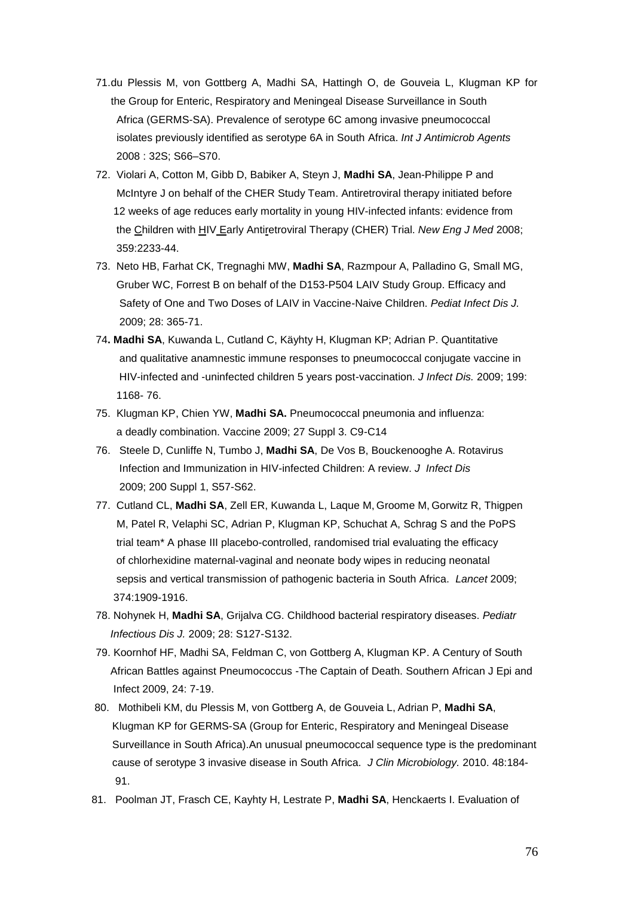- 71.du Plessis M, von Gottberg A, Madhi SA, Hattingh O, de Gouveia L, Klugman KP for the Group for Enteric, Respiratory and Meningeal Disease Surveillance in South Africa (GERMS-SA). Prevalence of serotype 6C among invasive pneumococcal isolates previously identified as serotype 6A in South Africa. *Int J Antimicrob Agents*  2008 : 32S; S66–S70.
- 72. Violari A, Cotton M, Gibb D, Babiker A, Steyn J, **Madhi SA**, Jean-Philippe P and McIntyre J on behalf of the CHER Study Team. Antiretroviral therapy initiated before 12 weeks of age reduces early mortality in young HIV-infected infants: evidence from the Children with HIV Early Antiretroviral Therapy (CHER) Trial. *New Eng J Med* 2008; 359:2233-44.
- 73. Neto HB, Farhat CK, Tregnaghi MW, **Madhi SA**, Razmpour A, Palladino G, Small MG, Gruber WC, Forrest B on behalf of the D153-P504 LAIV Study Group. Efficacy and Safety of One and Two Doses of LAIV in Vaccine-Naive Children. *Pediat Infect Dis J.* 2009; 28: 365-71.
- 74**. Madhi SA**, Kuwanda L, Cutland C, Käyhty H, Klugman KP; Adrian P. Quantitative and qualitative anamnestic immune responses to pneumococcal conjugate vaccine in HIV-infected and -uninfected children 5 years post-vaccination. *J Infect Dis.* 2009; 199: 1168- 76.
- 75. Klugman KP, Chien YW, **Madhi SA.** Pneumococcal pneumonia and influenza: a deadly combination. Vaccine 2009; 27 Suppl 3. C9-C14
- 76. Steele D, Cunliffe N, Tumbo J, **Madhi SA**, De Vos B, Bouckenooghe A. Rotavirus Infection and Immunization in HIV-infected Children: A review. *J Infect Dis* 2009; 200 Suppl 1, S57-S62.
- 77. Cutland CL, **Madhi SA**, Zell ER, Kuwanda L, Laque M, Groome M, Gorwitz R, Thigpen M, Patel R, Velaphi SC, Adrian P, Klugman KP, Schuchat A, Schrag S and the PoPS trial team\* A phase III placebo-controlled, randomised trial evaluating the efficacy of chlorhexidine maternal-vaginal and neonate body wipes in reducing neonatal sepsis and vertical transmission of pathogenic bacteria in South Africa. *Lancet* 2009; 374:1909-1916.
- 78. Nohynek H, **Madhi SA**, Grijalva CG. Childhood bacterial respiratory diseases. *Pediatr Infectious Dis J.* 2009; 28: S127-S132.
- 79. Koornhof HF, Madhi SA, Feldman C, von Gottberg A, Klugman KP. A Century of South African Battles against Pneumococcus -The Captain of Death. Southern African J Epi and Infect 2009, 24: 7-19.
- 80. Mothibeli KM, du Plessis M, von Gottberg A, de Gouveia L, Adrian P, **Madhi SA**, Klugman KP for GERMS-SA (Group for Enteric, Respiratory and Meningeal Disease Surveillance in South Africa).An unusual pneumococcal sequence type is the predominant cause of serotype 3 invasive disease in South Africa. *J Clin Microbiology.* 2010. 48:184- 91.
- 81. Poolman JT, Frasch CE, Kayhty H, Lestrate P, **Madhi SA**, Henckaerts I. Evaluation of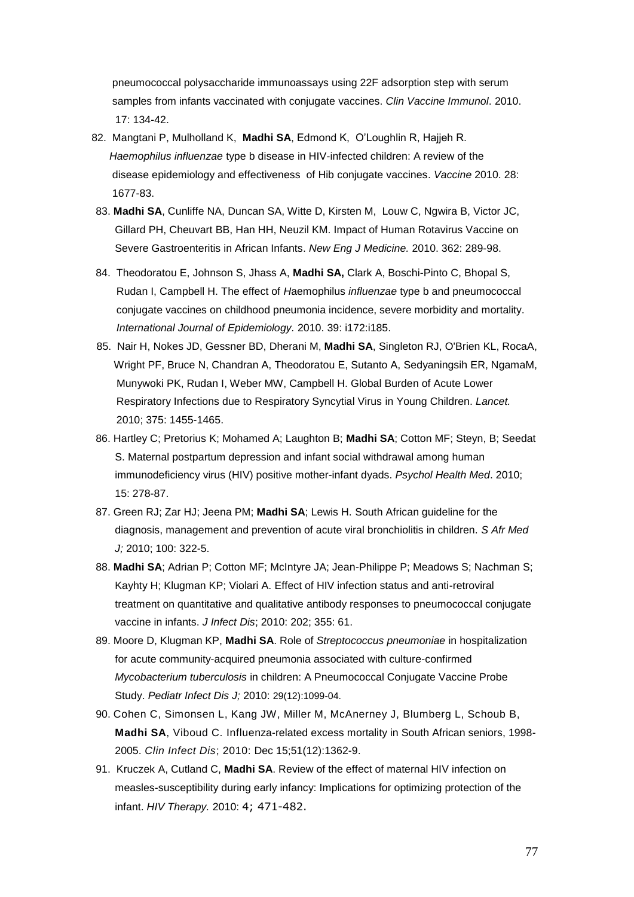pneumococcal polysaccharide immunoassays using 22F adsorption step with serum samples from infants vaccinated with conjugate vaccines. *Clin Vaccine Immunol*. 2010. 17: 134-42.

- 82. Mangtani P, Mulholland K, **Madhi SA**, Edmond K, O'Loughlin R, Hajjeh R.  *Haemophilus influenzae* type b disease in HIV-infected children: A review of the disease epidemiology and effectiveness of Hib conjugate vaccines. *Vaccine* 2010. 28: 1677-83.
- 83. **Madhi SA**, Cunliffe NA, Duncan SA, Witte D, Kirsten M, Louw C, Ngwira B, Victor JC, Gillard PH, Cheuvart BB, Han HH, Neuzil KM. Impact of Human Rotavirus Vaccine on Severe Gastroenteritis in African Infants. *New Eng J Medicine.* 2010. 362: 289-98.
- 84. Theodoratou E, Johnson S, Jhass A, **Madhi SA,** Clark A, Boschi-Pinto C, Bhopal S, Rudan I, Campbell H. The effect of *H*aemophilus *influenzae* type b and pneumococcal conjugate vaccines on childhood pneumonia incidence, severe morbidity and mortality. *International Journal of Epidemiology.* 2010. 39: i172:i185.
- 85. Nair H, Nokes JD, Gessner BD, Dherani M, **Madhi SA**, Singleton RJ, O'Brien KL, RocaA, Wright PF, Bruce N, Chandran A, Theodoratou E, Sutanto A, Sedyaningsih ER, NgamaM, Munywoki PK, Rudan I, Weber MW, Campbell H. Global Burden of Acute Lower Respiratory Infections due to Respiratory Syncytial Virus in Young Children. *Lancet.* 2010; 375: 1455-1465.
- 86. Hartley C; Pretorius K; Mohamed A; Laughton B; **Madhi SA**; Cotton MF; Steyn, B; Seedat S. Maternal postpartum depression and infant social withdrawal among human immunodeficiency virus (HIV) positive mother-infant dyads. *Psychol Health Med*. 2010; 15: 278-87.
- 87. Green RJ; Zar HJ; Jeena PM; **Madhi SA**; Lewis H. South African guideline for the diagnosis, management and prevention of acute viral bronchiolitis in children. *S Afr Med J;* 2010; 100: 322-5.
- 88. **Madhi SA**; Adrian P; Cotton MF; McIntyre JA; Jean-Philippe P; Meadows S; Nachman S; Kayhty H; Klugman KP; Violari A. Effect of HIV infection status and anti-retroviral treatment on quantitative and qualitative antibody responses to pneumococcal conjugate vaccine in infants. *J Infect Dis*; 2010: 202; 355: 61.
- 89. Moore D, Klugman KP, **Madhi SA**. Role of *Streptococcus pneumoniae* in hospitalization for acute community-acquired pneumonia associated with culture-confirmed *Mycobacterium tuberculosis* in children: A Pneumococcal Conjugate Vaccine Probe Study. *Pediatr Infect Dis J;* 2010: 29(12):1099-04.
- 90. Cohen C, Simonsen L, Kang JW, Miller M, McAnerney J, Blumberg L, Schoub B, **Madhi SA**, Viboud C. Influenza-related excess mortality in South African seniors, 1998- 2005. *Clin Infect Dis*; 2010: Dec 15;51(12):1362-9.
- 91. Kruczek A, Cutland C, **Madhi SA**. Review of the effect of maternal HIV infection on measles-susceptibility during early infancy: Implications for optimizing protection of the infant. *HIV Therapy.* 2010: 4; 471-482.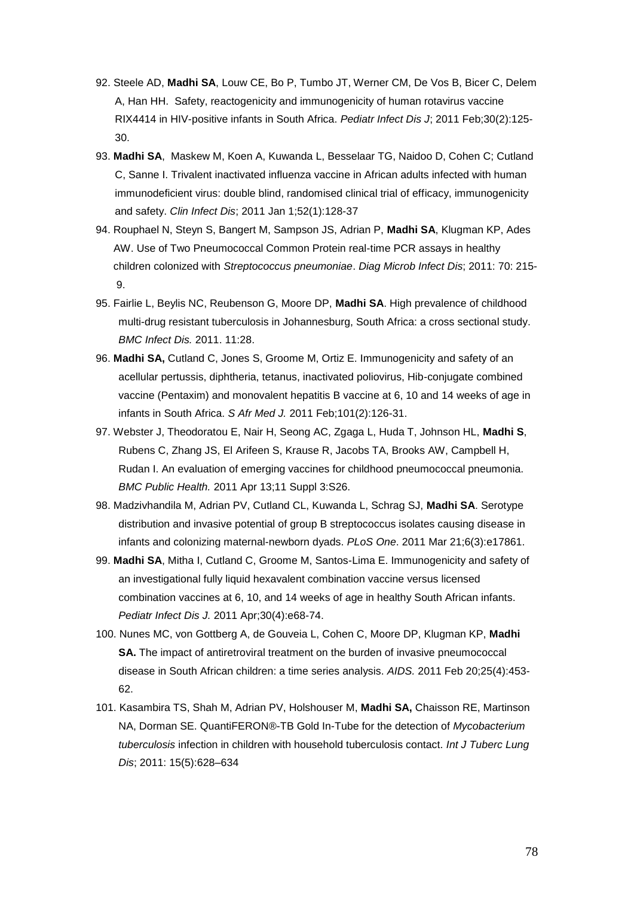- 92. Steele AD, **Madhi SA**, Louw CE, Bo P, Tumbo JT, Werner CM, De Vos B, Bicer C, Delem A, Han HH. Safety, reactogenicity and immunogenicity of human rotavirus vaccine RIX4414 in HIV-positive infants in South Africa. *Pediatr Infect Dis J*; 2011 Feb;30(2):125- 30.
- 93. **Madhi SA**, Maskew M, Koen A, Kuwanda L, Besselaar TG, Naidoo D, Cohen C; Cutland C, Sanne I. Trivalent inactivated influenza vaccine in African adults infected with human immunodeficient virus: double blind, randomised clinical trial of efficacy, immunogenicity and safety. *Clin Infect Dis*; 2011 Jan 1;52(1):128-37
- 94. Rouphael N, Steyn S, Bangert M, Sampson JS, Adrian P, **Madhi SA**, Klugman KP, Ades AW. Use of Two Pneumococcal Common Protein real-time PCR assays in healthy children colonized with *Streptococcus pneumoniae*. *Diag Microb Infect Dis*; 2011: 70: 215- 9.
- 95. Fairlie L, Beylis NC, Reubenson G, Moore DP, **Madhi SA**. [High prevalence of childhood](http://www.ncbi.nlm.nih.gov/pubmed/21269475)  [multi-drug resistant tuberculosis in Johannesburg, South Africa: a cross sectional study.](http://www.ncbi.nlm.nih.gov/pubmed/21269475) *BMC Infect Dis.* 2011. 11:28.
- 96. **Madhi SA,** Cutland C, Jones S, Groome M, Ortiz E. [Immunogenicity and safety of an](http://www.ncbi.nlm.nih.gov/pubmed/21678741)  [acellular pertussis, diphtheria, tetanus, inactivated poliovirus, Hib-conjugate combined](http://www.ncbi.nlm.nih.gov/pubmed/21678741)  [vaccine \(Pentaxim\) and monovalent hepatitis B vaccine at 6, 10 and](http://www.ncbi.nlm.nih.gov/pubmed/21678741) 14 weeks of age in [infants in South Africa.](http://www.ncbi.nlm.nih.gov/pubmed/21678741) *S Afr Med J.* 2011 Feb;101(2):126-31.
- 97. Webster J, Theodoratou E, Nair H, Seong AC, Zgaga L, Huda T, Johnson HL, **Madhi S**, Rubens C, Zhang JS, El Arifeen S, Krause R, Jacobs TA, Brooks AW, Campbell H, Rudan I. [An evaluation of emerging vaccines for childhood pneumococcal pneumonia.](http://www.ncbi.nlm.nih.gov/pubmed/21501444) *BMC Public Health.* 2011 Apr 13;11 Suppl 3:S26.
- 98. Madzivhandila M, Adrian PV, Cutland CL, Kuwanda L, Schrag SJ, **Madhi SA**. [Serotype](http://www.ncbi.nlm.nih.gov/pubmed/21445302)  [distribution and invasive potential of group B streptococcus isolates causing disease in](http://www.ncbi.nlm.nih.gov/pubmed/21445302)  [infants and colonizing maternal-newborn dyads.](http://www.ncbi.nlm.nih.gov/pubmed/21445302) *PLoS One*. 2011 Mar 21;6(3):e17861.
- 99. **Madhi SA**, Mitha I, Cutland C, Groome M, Santos-Lima E. [Immunogenicity and safety of](http://www.ncbi.nlm.nih.gov/pubmed/21289531)  [an investigational fully liquid hexavalent combination vaccine versus licensed](http://www.ncbi.nlm.nih.gov/pubmed/21289531)  [combination vaccines at 6, 10, and 14 weeks of age in healthy South African infants.](http://www.ncbi.nlm.nih.gov/pubmed/21289531) *Pediatr Infect Dis J.* 2011 Apr;30(4):e68-74.
- 100. Nunes MC, von Gottberg A, de Gouveia L, Cohen C, Moore DP, Klugman KP, **Madhi SA.** The impact of antiretroviral treatment on the burden of invasive pneumococcal [disease in South African children: a time series analysis.](http://www.ncbi.nlm.nih.gov/pubmed/21178754) *AIDS.* 2011 Feb 20;25(4):453- 62.
- 101. Kasambira TS, Shah M, Adrian PV, Holshouser M, **Madhi SA,** Chaisson RE, Martinson NA, Dorman SE. QuantiFERON®-TB Gold In-Tube for the detection of *Mycobacterium tuberculosis* infection in children with household tuberculosis contact. *Int J Tuberc Lung Dis*; 2011: 15(5):628–634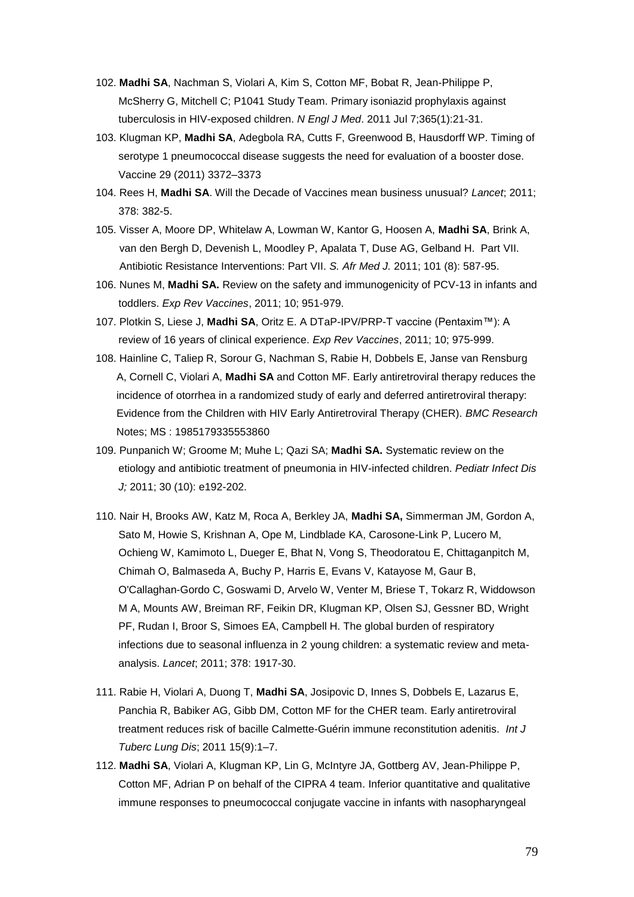- 102. **Madhi SA**, Nachman S, Violari A, Kim S, Cotton MF, Bobat R, Jean-Philippe P, McSherry G, Mitchell C; P1041 Study Team. [Primary isoniazid prophylaxis against](http://www.ncbi.nlm.nih.gov/pubmed/21732834)  [tuberculosis in HIV-exposed children.](http://www.ncbi.nlm.nih.gov/pubmed/21732834) *N Engl J Med*. 2011 Jul 7;365(1):21-31.
- 103. Klugman KP, **Madhi SA**, Adegbola RA, Cutts F, Greenwood B, Hausdorff WP. Timing of serotype 1 pneumococcal disease suggests the need for evaluation of a booster dose. Vaccine 29 (2011) 3372–3373
- 104. Rees H, **Madhi SA**. Will the Decade of Vaccines mean business unusual? *Lancet*; 2011; 378: 382-5.
- 105. Visser A, Moore DP, Whitelaw A, Lowman W, Kantor G, Hoosen A, **Madhi SA**, Brink A, van den Bergh D, Devenish L, Moodley P, Apalata T, Duse AG, Gelband H. Part VII. Antibiotic Resistance Interventions: Part VII. *S. Afr Med J.* 2011; 101 (8): 587-95.
- 106. Nunes M, **Madhi SA.** Review on the safety and immunogenicity of PCV-13 in infants and toddlers. *Exp Rev Vaccines*, 2011; 10; 951-979.
- 107. Plotkin S, Liese J, **Madhi SA**, Oritz E. A DTaP-IPV/PRP-T vaccine (Pentaxim™): A review of 16 years of clinical experience. *Exp Rev Vaccines*, 2011; 10; 975-999.
- 108. Hainline C, Taliep R, Sorour G, Nachman S, Rabie H, Dobbels E, Janse van Rensburg A, Cornell C, Violari A, **Madhi SA** and Cotton MF. Early antiretroviral therapy reduces the incidence of otorrhea in a randomized study of early and deferred antiretroviral therapy: Evidence from the Children with HIV Early Antiretroviral Therapy (CHER). *BMC Research* Notes; MS : 1985179335553860
- 109. Punpanich W; Groome M; Muhe L; Qazi SA; **Madhi SA.** Systematic review on the etiology and antibiotic treatment of pneumonia in HIV-infected children. *Pediatr Infect Dis J;* 2011; 30 (10): e192-202.
- 110. Nair H, Brooks AW, Katz M, Roca A, Berkley JA, **Madhi SA,** Simmerman JM, Gordon A, Sato M, Howie S, Krishnan A, Ope M, Lindblade KA, Carosone-Link P, Lucero M, Ochieng W, Kamimoto L, Dueger E, Bhat N, Vong S, Theodoratou E, Chittaganpitch M, Chimah O, Balmaseda A, Buchy P, Harris E, Evans V, Katayose M, Gaur B, O'Callaghan-Gordo C, Goswami D, Arvelo W, Venter M, Briese T, Tokarz R, Widdowson M A, Mounts AW, Breiman RF, Feikin DR, Klugman KP, Olsen SJ, Gessner BD, Wright PF, Rudan I, Broor S, Simoes EA, Campbell H. The global burden of respiratory infections due to seasonal influenza in 2 young children: a systematic review and metaanalysis. *Lancet*; 2011; 378: 1917-30.
- 111. Rabie H, Violari A, Duong T, **Madhi SA**, Josipovic D, Innes S, Dobbels E, Lazarus E, Panchia R, Babiker AG, Gibb DM, Cotton MF for the CHER team. Early antiretroviral treatment reduces risk of bacille Calmette-Guérin immune reconstitution adenitis. *Int J Tuberc Lung Dis*; 2011 15(9):1–7.
- 112. **Madhi SA**, Violari A, Klugman KP, Lin G, McIntyre JA, Gottberg AV, Jean-Philippe P, Cotton MF, Adrian P on behalf of the CIPRA 4 team. Inferior quantitative and qualitative immune responses to pneumococcal conjugate vaccine in infants with nasopharyngeal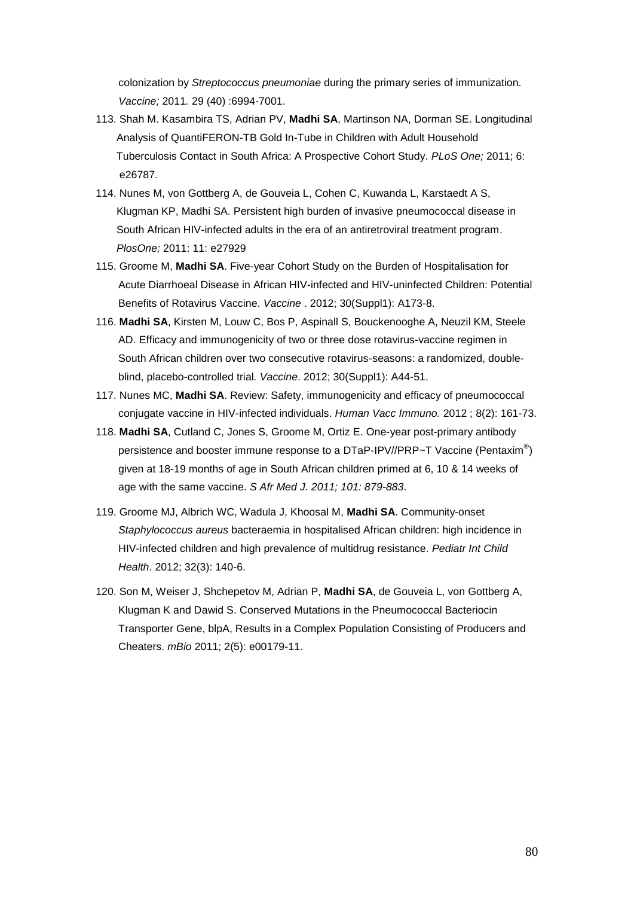colonization by *Streptococcus pneumoniae* during the primary series of immunization. *Vaccine;* 2011*.* 29 (40) :6994-7001.

- 113. Shah M. Kasambira TS, Adrian PV, **Madhi SA**, Martinson NA, Dorman SE. Longitudinal Analysis of QuantiFERON-TB Gold In-Tube in Children with Adult Household Tuberculosis Contact in South Africa: A Prospective Cohort Study. *PLoS One;* 2011; 6: e26787.
- 114. Nunes M, von Gottberg A, de Gouveia L, Cohen C, Kuwanda L, Karstaedt A S, Klugman KP, Madhi SA. Persistent high burden of invasive pneumococcal disease in South African HIV-infected adults in the era of an antiretroviral treatment program.  *PlosOne;* 2011: 11: e27929
- 115. Groome M, **Madhi SA**. Five-year Cohort Study on the Burden of Hospitalisation for Acute Diarrhoeal Disease in African HIV-infected and HIV-uninfected Children: Potential Benefits of Rotavirus Vaccine. *Vaccine* . 2012; 30(Suppl1): A173-8.
- 116. **Madhi SA**, Kirsten M, Louw C, Bos P, Aspinall S, Bouckenooghe A, Neuzil KM, Steele AD. Efficacy and immunogenicity of two or three dose rotavirus-vaccine regimen in South African children over two consecutive rotavirus-seasons: a randomized, doubleblind, placebo-controlled trial*. Vaccine*. 2012; 30(Suppl1): A44-51.
- 117. Nunes MC, **Madhi SA**. Review: Safety, immunogenicity and efficacy of pneumococcal conjugate vaccine in HIV-infected individuals. *Human Vacc Immuno.* 2012 ; 8(2): 161-73.
- 118. **Madhi SA**, Cutland C, Jones S, Groome M, Ortiz E. One-year post-primary antibody persistence and booster immune response to a DTaP-IPV//PRP~T Vaccine (Pentaxim<sup>®</sup>) given at 18-19 months of age in South African children primed at 6, 10 & 14 weeks of age with the same vaccine. *S Afr Med J. 2011; 101: 879-883*.
- 119. Groome MJ, Albrich WC, Wadula J, Khoosal M, **Madhi SA**. Community-onset *Staphylococcus aureus* bacteraemia in hospitalised African children: high incidence in HIV-infected children and high prevalence of multidrug resistance. *Pediatr Int Child Health*. 2012; 32(3): 140-6.
- 120. Son M, Weiser J, Shchepetov M, Adrian P, **Madhi SA**, de Gouveia L, von Gottberg A, Klugman K and Dawid S. Conserved Mutations in the Pneumococcal Bacteriocin Transporter Gene, blpA, Results in a Complex Population Consisting of Producers and Cheaters. *mBio* 2011; 2(5): e00179-11.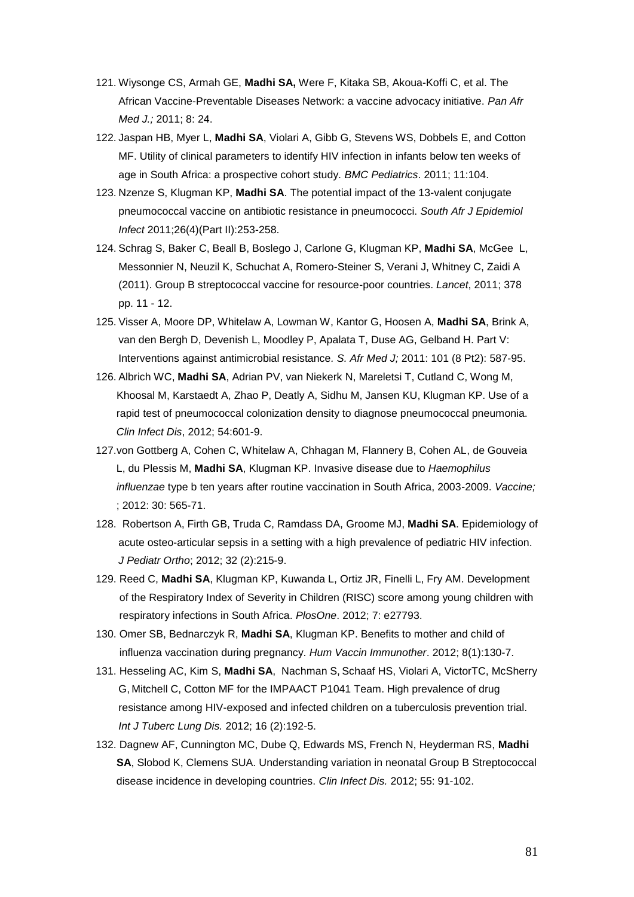- 121. Wiysonge CS, Armah GE, **Madhi SA,** Were F, Kitaka SB, Akoua-Koffi C, et al. The African Vaccine-Preventable Diseases Network: a vaccine advocacy initiative. *Pan Afr Med J.;* 2011; 8: 24.
- 122. Jaspan HB, Myer L, **Madhi SA**, Violari A, Gibb G, Stevens WS, Dobbels E, and Cotton MF. Utility of clinical parameters to identify HIV infection in infants below ten weeks of age in South Africa: a prospective cohort study. *BMC Pediatrics*. 2011; 11:104.
- 123. Nzenze S, Klugman KP, **Madhi SA**. The potential impact of the 13-valent conjugate pneumococcal vaccine on antibiotic resistance in pneumococci. *South Afr J Epidemiol Infect* 2011;26(4)(Part II):253-258.
- 124. Schrag S, Baker C, Beall B, Boslego J, Carlone G, Klugman KP, **Madhi SA**, McGee L, Messonnier N, Neuzil K, Schuchat A, Romero-Steiner S, Verani J, Whitney C, Zaidi A (2011). Group B streptococcal vaccine for resource-poor countries. *Lancet*, 2011; 378 pp. 11 - 12.
- 125. Visser A, Moore DP, Whitelaw A, Lowman W, Kantor G, Hoosen A, **Madhi SA**, Brink A, van den Bergh D, Devenish L, Moodley P, Apalata T, Duse AG, Gelband H. Part V: Interventions against antimicrobial resistance*. S. Afr Med J;* 2011: 101 (8 Pt2): 587-95.
- 126. Albrich WC, **Madhi SA**, Adrian PV, van Niekerk N, Mareletsi T, Cutland C, Wong M, Khoosal M, Karstaedt A, Zhao P, Deatly A, Sidhu M, Jansen KU, Klugman KP. Use of a rapid test of pneumococcal colonization density to diagnose pneumococcal pneumonia. *Clin Infect Dis*, 2012; 54:601-9.
- 127.von Gottberg A, Cohen C, Whitelaw A, Chhagan M, Flannery B, Cohen AL, de Gouveia L, du Plessis M, **Madhi SA**, Klugman KP. Invasive disease due to *Haemophilus influenzae* type b ten years after routine vaccination in South Africa, 2003-2009. *Vaccine;* ; 2012: 30: 565-71.
- 128. Robertson A, Firth GB, Truda C, Ramdass DA, Groome MJ, **Madhi SA**. Epidemiology of acute osteo-articular sepsis in a setting with a high prevalence of pediatric HIV infection. *J Pediatr Ortho*; 2012; 32 (2):215-9.
- 129. Reed C, **Madhi SA**, Klugman KP, Kuwanda L, Ortiz JR, Finelli L, Fry AM. Development of the Respiratory Index of Severity in Children (RISC) score among young children with respiratory infections in South Africa. *PlosOne*. 2012; 7: e27793.
- 130. Omer SB, Bednarczyk R, **Madhi SA**, Klugman KP. Benefits to mother and child of influenza vaccination during pregnancy. *Hum Vaccin Immunother*. 2012; 8(1):130-7.
- 131. Hesseling AC, Kim S, **Madhi SA**, Nachman S, Schaaf HS, Violari A, VictorTC, McSherry G, Mitchell C, Cotton MF for the IMPAACT P1041 Team. High prevalence of drug resistance among HIV-exposed and infected children on a tuberculosis prevention trial. *Int J Tuberc Lung Dis.* 2012; 16 (2):192-5.
- 132. Dagnew AF, Cunnington MC, Dube Q, Edwards MS, French N, Heyderman RS, **Madhi SA**, Slobod K, Clemens SUA. Understanding variation in neonatal Group B Streptococcal disease incidence in developing countries. *Clin Infect Dis.* 2012; 55: 91-102.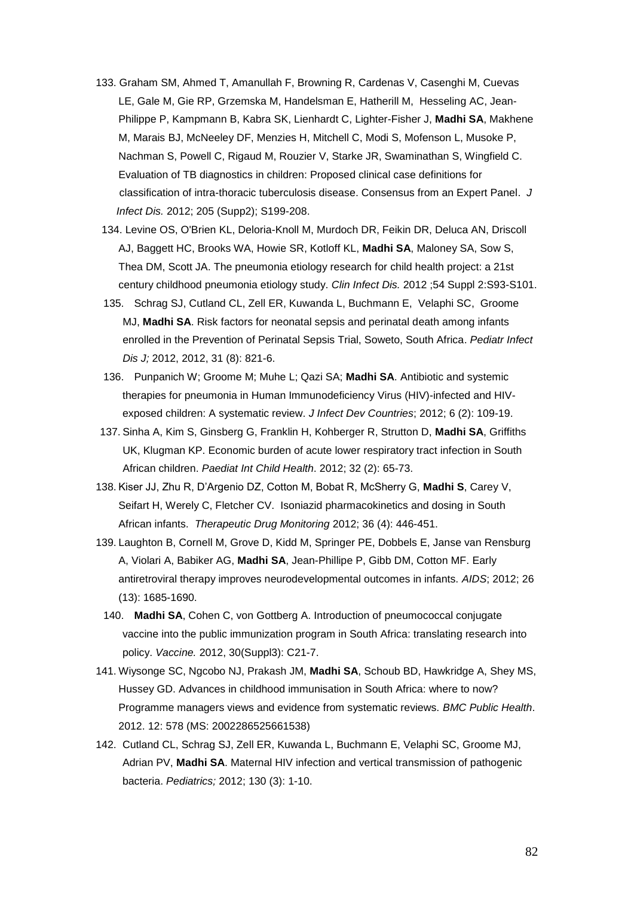- 133. Graham SM, Ahmed T, Amanullah F, Browning R, Cardenas V, Casenghi M, Cuevas LE, Gale M, Gie RP, Grzemska M, Handelsman E, Hatherill M, Hesseling AC, Jean-Philippe P, Kampmann B, Kabra SK, Lienhardt C, Lighter-Fisher J, **Madhi SA**, Makhene M, Marais BJ, McNeeley DF, Menzies H, Mitchell C, Modi S, Mofenson L, Musoke P, Nachman S, Powell C, Rigaud M, Rouzier V, Starke JR, Swaminathan S, Wingfield C. Evaluation of TB diagnostics in children: Proposed clinical case definitions for classification of intra-thoracic tuberculosis disease. Consensus from an Expert Panel. *J Infect Dis.* 2012; 205 (Supp2); S199-208.
	- 134. Levine OS, O'Brien KL, Deloria-Knoll M, Murdoch DR, Feikin DR, Deluca AN, Driscoll AJ, Baggett HC, Brooks WA, Howie SR, Kotloff KL, **Madhi SA**, Maloney SA, Sow S, Thea DM, Scott JA. [The pneumonia etiology research for child health project: a 21st](http://www.ncbi.nlm.nih.gov/pubmed/22403238)  [century childhood pneumonia etiology study.](http://www.ncbi.nlm.nih.gov/pubmed/22403238) *Clin Infect Dis.* 2012 ;54 Suppl 2:S93-S101.
	- 135. Schrag SJ, Cutland CL, Zell ER, Kuwanda L, Buchmann E, Velaphi SC, Groome MJ, **Madhi SA**. Risk factors for neonatal sepsis and perinatal death among infants enrolled in the Prevention of Perinatal Sepsis Trial, Soweto, South Africa. *Pediatr Infect Dis J;* 2012, 2012, 31 (8): 821-6.
	- 136. Punpanich W; Groome M; Muhe L; Qazi SA; **Madhi SA**. Antibiotic and systemic therapies for pneumonia in Human Immunodeficiency Virus (HIV)-infected and HIVexposed children: A systematic review. *J Infect Dev Countries*; 2012; 6 (2): 109-19.
- 137. Sinha A, Kim S, Ginsberg G, Franklin H, Kohberger R, Strutton D, **Madhi SA**, Griffiths UK, Klugman KP. Economic burden of acute lower respiratory tract infection in South African children. *Paediat Int Child Health*. 2012; 32 (2): 65-73.
- 138. Kiser JJ, Zhu R, D'Argenio DZ, Cotton M, Bobat R, McSherry G, **Madhi S**, Carey V, Seifart H, Werely C, Fletcher CV. Isoniazid pharmacokinetics and dosing in South African infants. *Therapeutic Drug Monitoring* 2012; 36 (4): 446-451.
- 139. Laughton B, Cornell M, Grove D, Kidd M, Springer PE, Dobbels E, Janse van Rensburg A, Violari A, Babiker AG, **Madhi SA**, Jean-Phillipe P, Gibb DM, Cotton MF. Early antiretroviral therapy improves neurodevelopmental outcomes in infants. *AIDS*; 2012; 26 (13): 1685-1690.
- 140. **Madhi SA**, Cohen C, von Gottberg A. Introduction of pneumococcal conjugate vaccine into the public immunization program in South Africa: translating research into policy. *Vaccine.* 2012, 30(Suppl3): C21-7.
- 141. Wiysonge SC, Ngcobo NJ, Prakash JM, **Madhi SA**, Schoub BD, Hawkridge A, Shey MS, Hussey GD. Advances in childhood immunisation in South Africa: where to now? Programme managers views and evidence from systematic reviews. *BMC Public Health*. 2012. 12: 578 (MS: 2002286525661538)
- 142. Cutland CL, Schrag SJ, Zell ER, Kuwanda L, Buchmann E, Velaphi SC, Groome MJ, Adrian PV, **Madhi SA**. Maternal HIV infection and vertical transmission of pathogenic bacteria. *Pediatrics;* 2012; 130 (3): 1-10.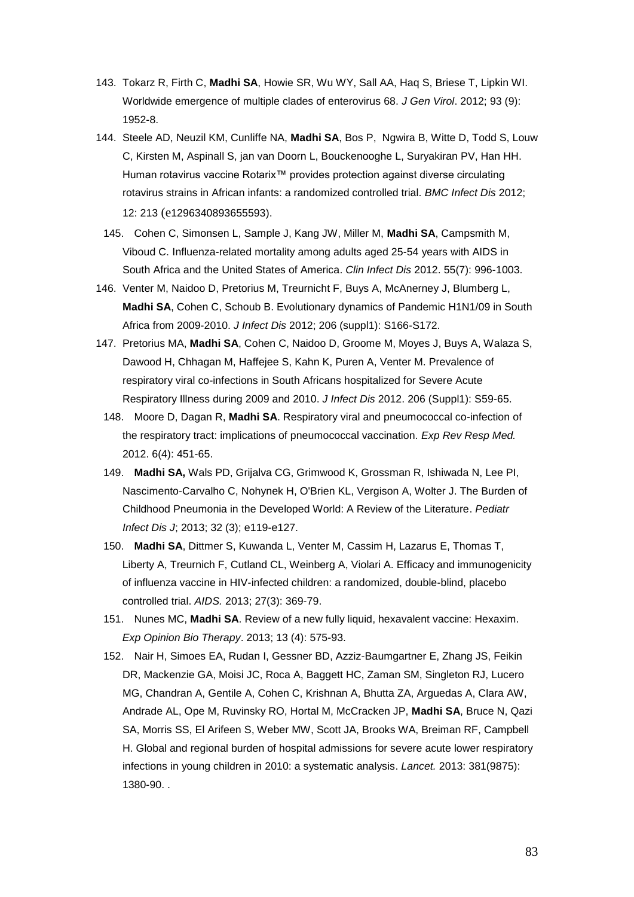- 143. Tokarz R, Firth C, **Madhi SA**, Howie SR, Wu WY, Sall AA, Haq S, Briese T, Lipkin WI. Worldwide emergence of multiple clades of enterovirus 68. *J Gen Virol*. 2012; 93 (9): 1952-8.
- 144. Steele AD, Neuzil KM, Cunliffe NA, **Madhi SA**, Bos P, Ngwira B, Witte D, Todd S, Louw C, Kirsten M, Aspinall S, jan van Doorn L, Bouckenooghe L, Suryakiran PV, Han HH. Human rotavirus vaccine Rotarix™ provides protection against diverse circulating rotavirus strains in African infants: a randomized controlled trial. *BMC Infect Dis* 2012; 12: 213 (e1296340893655593).
- 145. Cohen C, Simonsen L, Sample J, Kang JW, Miller M, **Madhi SA**, Campsmith M, Viboud C. Influenza-related mortality among adults aged 25-54 years with AIDS in South Africa and the United States of America. *Clin Infect Dis* 2012. 55(7): 996-1003.
- 146. Venter M, Naidoo D, Pretorius M, Treurnicht F, Buys A, McAnerney J, Blumberg L, **Madhi SA**, Cohen C, Schoub B. Evolutionary dynamics of Pandemic H1N1/09 in South Africa from 2009-2010. *J Infect Dis* 2012; 206 (suppl1): S166-S172.
- 147. Pretorius MA, **Madhi SA**, Cohen C, Naidoo D, Groome M, Moyes J, Buys A, Walaza S, Dawood H, Chhagan M, Haffejee S, Kahn K, Puren A, Venter M. Prevalence of respiratory viral co-infections in South Africans hospitalized for Severe Acute Respiratory Illness during 2009 and 2010. *J Infect Dis* 2012. 206 (Suppl1): S59-65.
	- 148. Moore D, Dagan R, **Madhi SA**. Respiratory viral and pneumococcal co-infection of the respiratory tract: implications of pneumococcal vaccination. *Exp Rev Resp Med.*  2012. 6(4): 451-65.
	- 149. **Madhi SA,** Wals PD, Grijalva CG, Grimwood K, Grossman R, Ishiwada N, Lee PI, Nascimento-Carvalho C, Nohynek H, O'Brien KL, Vergison A, Wolter J. The Burden of Childhood Pneumonia in the Developed World: A Review of the Literature. *Pediatr Infect Dis J*; 2013; 32 (3); e119-e127.
	- 150. **Madhi SA**, Dittmer S, Kuwanda L, Venter M, Cassim H, Lazarus E, Thomas T, Liberty A, Treurnich F, Cutland CL, Weinberg A, Violari A. Efficacy and immunogenicity of influenza vaccine in HIV-infected children: a randomized, double-blind, placebo controlled trial. *AIDS.* 2013; 27(3): 369-79.
	- 151. Nunes MC, **Madhi SA**. Review of a new fully liquid, hexavalent vaccine: Hexaxim. *Exp Opinion Bio Therapy*. 2013; 13 (4): 575-93.
	- 152. Nair H, Simoes EA, Rudan I, Gessner BD, Azziz-Baumgartner E, Zhang JS, Feikin DR, Mackenzie GA, Moisi JC, Roca A, Baggett HC, Zaman SM, Singleton RJ, Lucero MG, Chandran A, Gentile A, Cohen C, Krishnan A, Bhutta ZA, Arguedas A, Clara AW, Andrade AL, Ope M, Ruvinsky RO, Hortal M, McCracken JP, **Madhi SA**, Bruce N, Qazi SA, Morris SS, El Arifeen S, Weber MW, Scott JA, Brooks WA, Breiman RF, Campbell H. Global and regional burden of hospital admissions for severe acute lower respiratory infections in young children in 2010: a systematic analysis. *Lancet.* 2013: 381(9875): 1380-90. .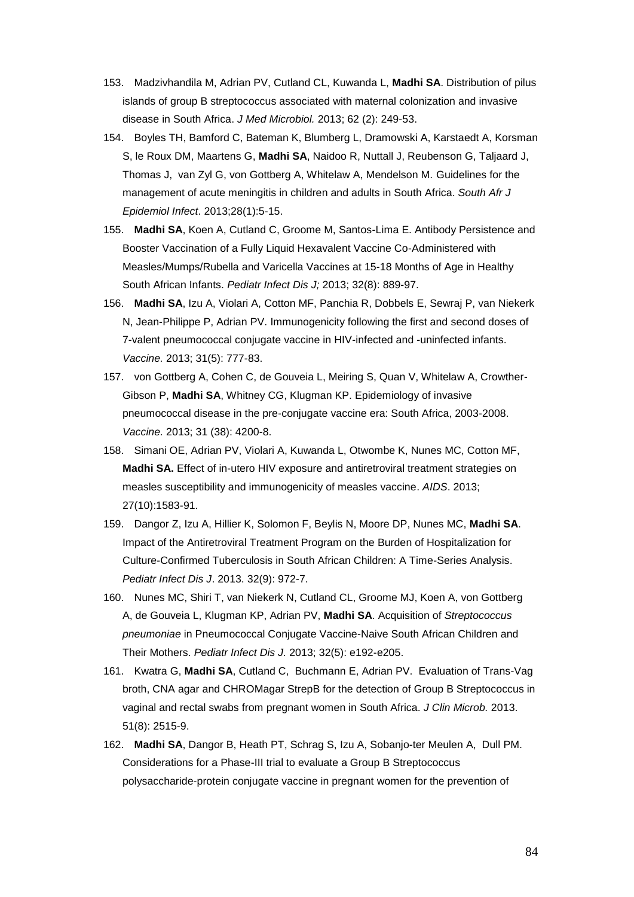- 153. Madzivhandila M, Adrian PV, Cutland CL, Kuwanda L, **Madhi SA**. Distribution of pilus islands of group B streptococcus associated with maternal colonization and invasive disease in South Africa. *J Med Microbiol.* 2013; 62 (2): 249-53.
- 154. Boyles TH, Bamford C, Bateman K, Blumberg L, Dramowski A, Karstaedt A, Korsman S, le Roux DM, Maartens G, **Madhi SA**, Naidoo R, Nuttall J, Reubenson G, Taljaard J, Thomas J, van Zyl G, von Gottberg A, Whitelaw A, Mendelson M. Guidelines for the management of acute meningitis in children and adults in South Africa. *South Afr J Epidemiol Infect*. 2013;28(1):5-15.
- 155. **Madhi SA**, Koen A, Cutland C, Groome M, Santos-Lima E. Antibody Persistence and Booster Vaccination of a Fully Liquid Hexavalent Vaccine Co-Administered with Measles/Mumps/Rubella and Varicella Vaccines at 15-18 Months of Age in Healthy South African Infants. *Pediatr Infect Dis J;* 2013; 32(8): 889-97.
- 156. **Madhi SA**, Izu A, Violari A, Cotton MF, Panchia R, Dobbels E, Sewraj P, van Niekerk N, Jean-Philippe P, Adrian PV. Immunogenicity following the first and second doses of 7-valent pneumococcal conjugate vaccine in HIV-infected and -uninfected infants. *Vaccine.* 2013; 31(5): 777-83.
- 157. von Gottberg A, Cohen C, de Gouveia L, Meiring S, Quan V, Whitelaw A, Crowther-Gibson P, **Madhi SA**, Whitney CG, Klugman KP. Epidemiology of invasive pneumococcal disease in the pre-conjugate vaccine era: South Africa, 2003-2008. *Vaccine.* 2013; 31 (38): 4200-8.
- 158. Simani OE, Adrian PV, Violari A, Kuwanda L, Otwombe K, Nunes MC, Cotton MF, **Madhi SA.** Effect of in-utero HIV exposure and antiretroviral treatment strategies on measles susceptibility and immunogenicity of measles vaccine. *AIDS*. 2013; 27(10):1583-91.
- 159. Dangor Z, Izu A, Hillier K, Solomon F, Beylis N, Moore DP, Nunes MC, **Madhi SA**. Impact of the Antiretroviral Treatment Program on the Burden of Hospitalization for Culture-Confirmed Tuberculosis in South African Children: A Time-Series Analysis. *Pediatr Infect Dis J*. 2013. 32(9): 972-7.
- 160. Nunes MC, Shiri T, van Niekerk N, Cutland CL, Groome MJ, Koen A, von Gottberg A, de Gouveia L, Klugman KP, Adrian PV, **Madhi SA**. Acquisition of *Streptococcus pneumoniae* in Pneumococcal Conjugate Vaccine-Naive South African Children and Their Mothers. *Pediatr Infect Dis J.* 2013; 32(5): e192-e205.
- 161. Kwatra G, **Madhi SA**, Cutland C, Buchmann E, Adrian PV. Evaluation of Trans-Vag broth, CNA agar and CHROMagar StrepB for the detection of Group B Streptococcus in vaginal and rectal swabs from pregnant women in South Africa. *J Clin Microb.* 2013. 51(8): 2515-9.
- 162. **Madhi SA**, Dangor B, Heath PT, Schrag S, Izu A, Sobanjo-ter Meulen A, Dull PM. Considerations for a Phase-III trial to evaluate a Group B Streptococcus polysaccharide-protein conjugate vaccine in pregnant women for the prevention of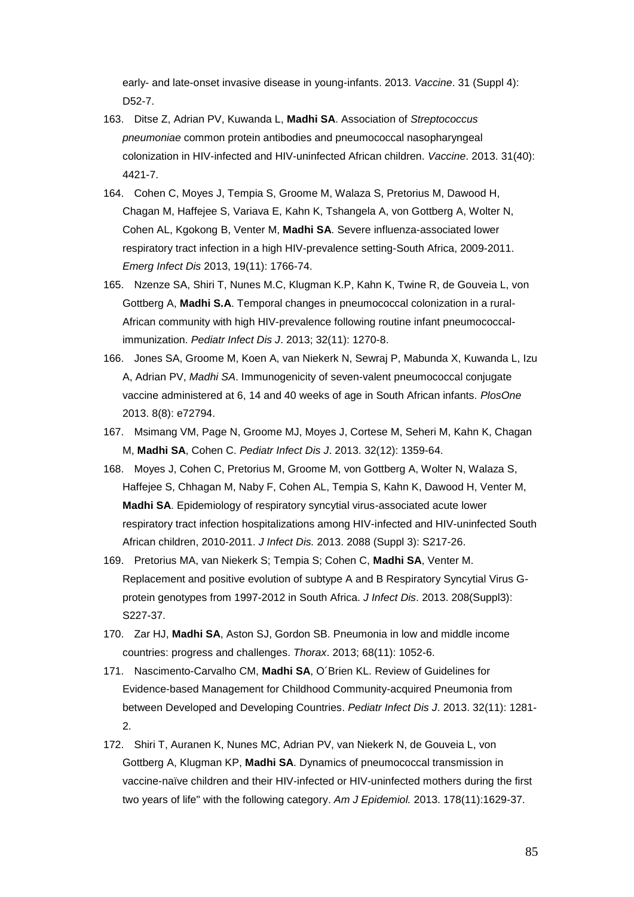early- and late-onset invasive disease in young-infants. 2013. *Vaccine*. 31 (Suppl 4): D52-7.

- 163. Ditse Z, Adrian PV, Kuwanda L, **Madhi SA**. Association of *Streptococcus pneumoniae* common protein antibodies and pneumococcal nasopharyngeal colonization in HIV-infected and HIV-uninfected African children. *Vaccine*. 2013. 31(40): 4421-7.
- 164. Cohen C, Moyes J, Tempia S, Groome M, Walaza S, Pretorius M, Dawood H, Chagan M, Haffejee S, Variava E, Kahn K, Tshangela A, von Gottberg A, Wolter N, Cohen AL, Kgokong B, Venter M, **Madhi SA**. Severe influenza-associated lower respiratory tract infection in a high HIV-prevalence setting-South Africa, 2009-2011. *Emerg Infect Dis* 2013, 19(11): 1766-74.
- 165. Nzenze SA, Shiri T, Nunes M.C, Klugman K.P, Kahn K, Twine R, de Gouveia L, von Gottberg A, **Madhi S.A**. Temporal changes in pneumococcal colonization in a rural-African community with high HIV-prevalence following routine infant pneumococcalimmunization. *Pediatr Infect Dis J*. 2013; 32(11): 1270-8.
- 166. Jones SA, Groome M, Koen A, van Niekerk N, Sewraj P, Mabunda X, Kuwanda L, Izu A, Adrian PV, *Madhi SA*. Immunogenicity of seven-valent pneumococcal conjugate vaccine administered at 6, 14 and 40 weeks of age in South African infants. *PlosOne*  2013. 8(8): e72794.
- 167. Msimang VM, Page N, Groome MJ, Moyes J, Cortese M, Seheri M, Kahn K, Chagan M, **Madhi SA**, Cohen C. *Pediatr Infect Dis J*. 2013. 32(12): 1359-64.
- 168. Moyes J, Cohen C, Pretorius M, Groome M, von Gottberg A, Wolter N, Walaza S, Haffejee S, Chhagan M, Naby F, Cohen AL, Tempia S, Kahn K, Dawood H, Venter M, **Madhi SA**. Epidemiology of respiratory syncytial virus-associated acute lower respiratory tract infection hospitalizations among HIV-infected and HIV-uninfected South African children, 2010-2011. *J Infect Dis.* 2013. 2088 (Suppl 3): S217-26.
- 169. Pretorius MA, van Niekerk S; Tempia S; Cohen C, **Madhi SA**, Venter M. Replacement and positive evolution of subtype A and B Respiratory Syncytial Virus Gprotein genotypes from 1997-2012 in South Africa. *J Infect Dis*. 2013. 208(Suppl3): S227-37.
- 170. Zar HJ, **Madhi SA**, Aston SJ, Gordon SB. Pneumonia in low and middle income countries: progress and challenges. *Thorax*. 2013; 68(11): 1052-6.
- 171. Nascimento-Carvalho CM, **Madhi SA**, O´Brien KL. Review of Guidelines for Evidence-based Management for Childhood Community-acquired Pneumonia from between Developed and Developing Countries. *Pediatr Infect Dis J*. 2013. 32(11): 1281- 2.
- 172. Shiri T, Auranen K, Nunes MC, Adrian PV, van Niekerk N, de Gouveia L, von Gottberg A, Klugman KP, **Madhi SA**. Dynamics of pneumococcal transmission in vaccine-naïve children and their HIV-infected or HIV-uninfected mothers during the first two years of life" with the following category. *Am J Epidemiol.* 2013. 178(11):1629-37.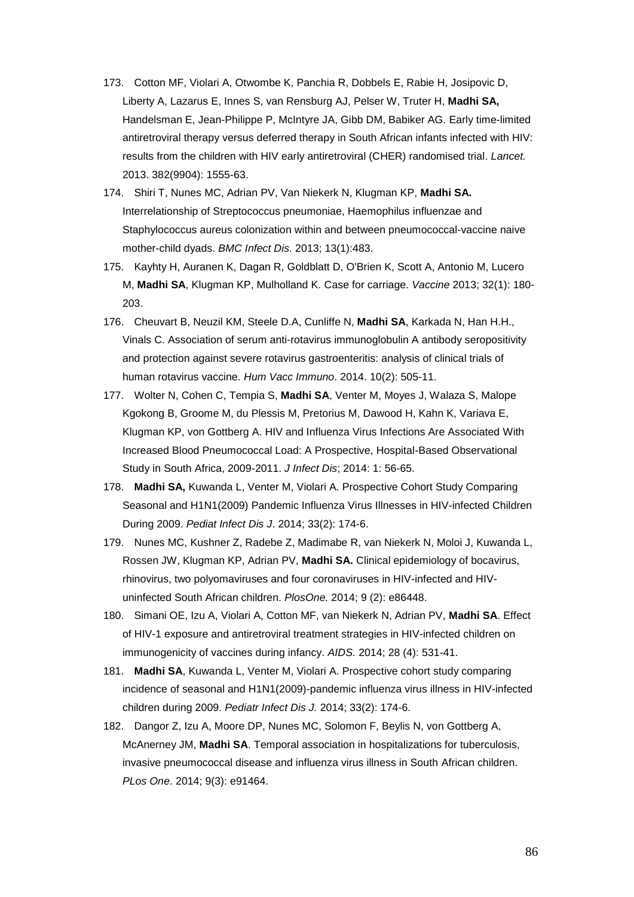- 173. Cotton MF, Violari A, Otwombe K, Panchia R, Dobbels E, Rabie H, Josipovic D, Liberty A, Lazarus E, Innes S, van Rensburg AJ, Pelser W, Truter H, **Madhi SA,** Handelsman E, Jean-Philippe P, McIntyre JA, Gibb DM, Babiker AG. Early time-limited antiretroviral therapy versus deferred therapy in South African infants infected with HIV: results from the children with HIV early antiretroviral (CHER) randomised trial. *Lancet.*  2013. 382(9904): 1555-63.
- 174. Shiri T, Nunes MC, Adrian PV, Van Niekerk N, Klugman KP, **Madhi SA.** Interrelationship of Streptococcus pneumoniae, Haemophilus influenzae and Staphylococcus aureus colonization within and between pneumococcal-vaccine naive mother-child dyads. *BMC Infect Dis.* 2013; 13(1):483.
- 175. Kayhty H, Auranen K, Dagan R, Goldblatt D, O'Brien K, Scott A, Antonio M, Lucero M, **Madhi SA**, Klugman KP, Mulholland K. Case for carriage. *Vaccine* 2013; 32(1): 180- 203.
- 176. Cheuvart B, Neuzil KM, Steele D.A, Cunliffe N, **Madhi SA**, Karkada N, Han H.H., Vinals C. Association of serum anti-rotavirus immunoglobulin A antibody seropositivity and protection against severe rotavirus gastroenteritis: analysis of clinical trials of human rotavirus vaccine. *Hum Vacc Immuno*. 2014. 10(2): 505-11.
- 177. Wolter N, Cohen C, Tempia S, **Madhi SA**, Venter M, Moyes J, Walaza S, Malope Kgokong B, Groome M, du Plessis M, Pretorius M, Dawood H, Kahn K, Variava E, Klugman KP, von Gottberg A. HIV and Influenza Virus Infections Are Associated With Increased Blood Pneumococcal Load: A Prospective, Hospital-Based Observational Study in South Africa, 2009-2011. *J Infect Dis*; 2014: 1: 56-65.
- 178. **Madhi SA,** Kuwanda L, Venter M, Violari A. Prospective Cohort Study Comparing Seasonal and H1N1(2009) Pandemic Influenza Virus Illnesses in HIV-infected Children During 2009. *Pediat Infect Dis J*. 2014; 33(2): 174-6.
- 179. Nunes MC, Kushner Z, Radebe Z, Madimabe R, van Niekerk N, Moloi J, Kuwanda L, Rossen JW, Klugman KP, Adrian PV, **Madhi SA.** Clinical epidemiology of bocavirus, rhinovirus, two polyomaviruses and four coronaviruses in HIV-infected and HIVuninfected South African children. *PlosOne.* 2014; 9 (2): e86448.
- 180. Simani OE, Izu A, Violari A, Cotton MF, van Niekerk N, Adrian PV, **Madhi SA**. Effect of HIV-1 exposure and antiretroviral treatment strategies in HIV-infected children on immunogenicity of vaccines during infancy. *AIDS.* 2014; 28 (4): 531-41.
- 181. **Madhi SA**, Kuwanda L, Venter M, Violari A. Prospective cohort study comparing incidence of seasonal and H1N1(2009)-pandemic influenza virus illness in HIV-infected children during 2009. *Pediatr Infect Dis J.* 2014; 33(2): 174-6.
- 182. Dangor Z, Izu A, Moore DP, Nunes MC, Solomon F, Beylis N, von Gottberg A, McAnerney JM, **Madhi SA**. Temporal association in hospitalizations for tuberculosis, invasive pneumococcal disease and influenza virus illness in South African children. *PLos One*. 2014; 9(3): e91464.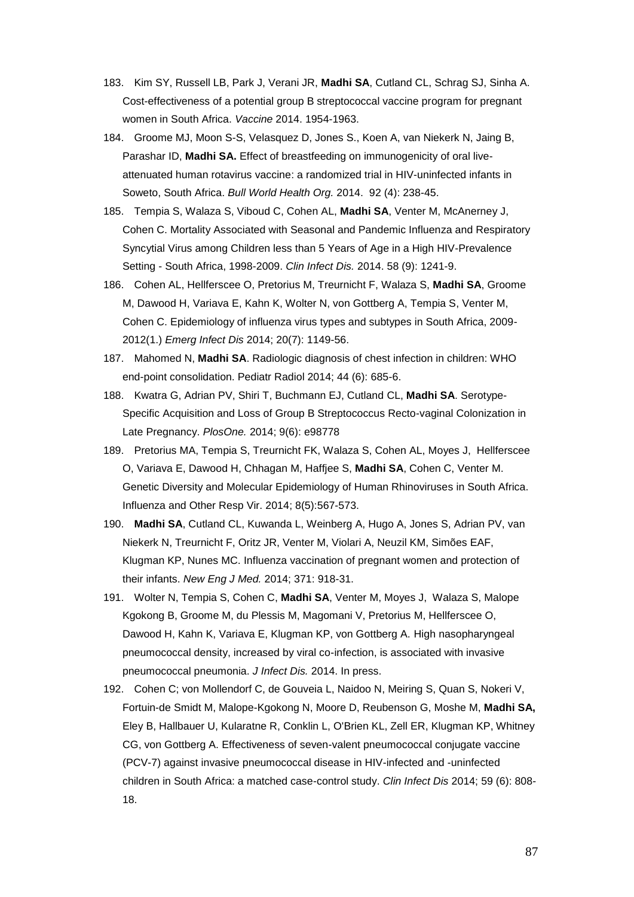- 183. Kim SY, Russell LB, Park J, Verani JR, **Madhi SA**, Cutland CL, Schrag SJ, Sinha A. Cost-effectiveness of a potential group B streptococcal vaccine program for pregnant women in South Africa. *Vaccine* 2014. 1954-1963.
- 184. Groome MJ, Moon S-S, Velasquez D, Jones S., Koen A, van Niekerk N, Jaing B, Parashar ID, **Madhi SA.** Effect of breastfeeding on immunogenicity of oral liveattenuated human rotavirus vaccine: a randomized trial in HIV-uninfected infants in Soweto, South Africa. *Bull World Health Org.* 2014. 92 (4): 238-45.
- 185. Tempia S, Walaza S, Viboud C, Cohen AL, **Madhi SA**, Venter M, McAnerney J, Cohen C. Mortality Associated with Seasonal and Pandemic Influenza and Respiratory Syncytial Virus among Children less than 5 Years of Age in a High HIV-Prevalence Setting - South Africa, 1998-2009. *Clin Infect Dis.* 2014. 58 (9): 1241-9.
- 186. Cohen AL, Hellferscee O, Pretorius M, Treurnicht F, Walaza S, **Madhi SA**, Groome M, Dawood H, Variava E, Kahn K, Wolter N, von Gottberg A, Tempia S, Venter M, Cohen C. Epidemiology of influenza virus types and subtypes in South Africa, 2009- 2012(1.) *Emerg Infect Dis* 2014; 20(7): 1149-56.
- 187. Mahomed N, **Madhi SA**. Radiologic diagnosis of chest infection in children: WHO end-point consolidation. Pediatr Radiol 2014; 44 (6): 685-6.
- 188. Kwatra G, Adrian PV, Shiri T, Buchmann EJ, Cutland CL, **Madhi SA**. Serotype-Specific Acquisition and Loss of Group B Streptococcus Recto-vaginal Colonization in Late Pregnancy. *PlosOne.* 2014; 9(6): e98778
- 189. Pretorius MA, Tempia S, Treurnicht FK, Walaza S, Cohen AL, Moyes J, Hellferscee O, Variava E, Dawood H, Chhagan M, Haffjee S, **Madhi SA**, Cohen C, Venter M. Genetic Diversity and Molecular Epidemiology of Human Rhinoviruses in South Africa. Influenza and Other Resp Vir. 2014; 8(5):567-573.
- 190. **Madhi SA**, Cutland CL, Kuwanda L, Weinberg A, Hugo A, Jones S, Adrian PV, van Niekerk N, Treurnicht F, Oritz JR, Venter M, Violari A, Neuzil KM, Simões EAF, Klugman KP, Nunes MC. Influenza vaccination of pregnant women and protection of their infants. *New Eng J Med.* 2014; 371: 918-31.
- 191. Wolter N, Tempia S, Cohen C, **Madhi SA**, Venter M, Moyes J, Walaza S, Malope Kgokong B, Groome M, du Plessis M, Magomani V, Pretorius M, Hellferscee O, Dawood H, Kahn K, Variava E, Klugman KP, von Gottberg A. High nasopharyngeal pneumococcal density, increased by viral co-infection, is associated with invasive pneumococcal pneumonia. *J Infect Dis.* 2014. In press.
- 192. Cohen C; von Mollendorf C, de Gouveia L, Naidoo N, Meiring S, Quan S, Nokeri V, Fortuin-de Smidt M, Malope-Kgokong N, Moore D, Reubenson G, Moshe M, **Madhi SA,** Eley B, Hallbauer U, Kularatne R, Conklin L, O'Brien KL, Zell ER, Klugman KP, Whitney CG, von Gottberg A. Effectiveness of seven-valent pneumococcal conjugate vaccine (PCV-7) against invasive pneumococcal disease in HIV-infected and -uninfected children in South Africa: a matched case-control study. *Clin Infect Dis* 2014; 59 (6): 808- 18.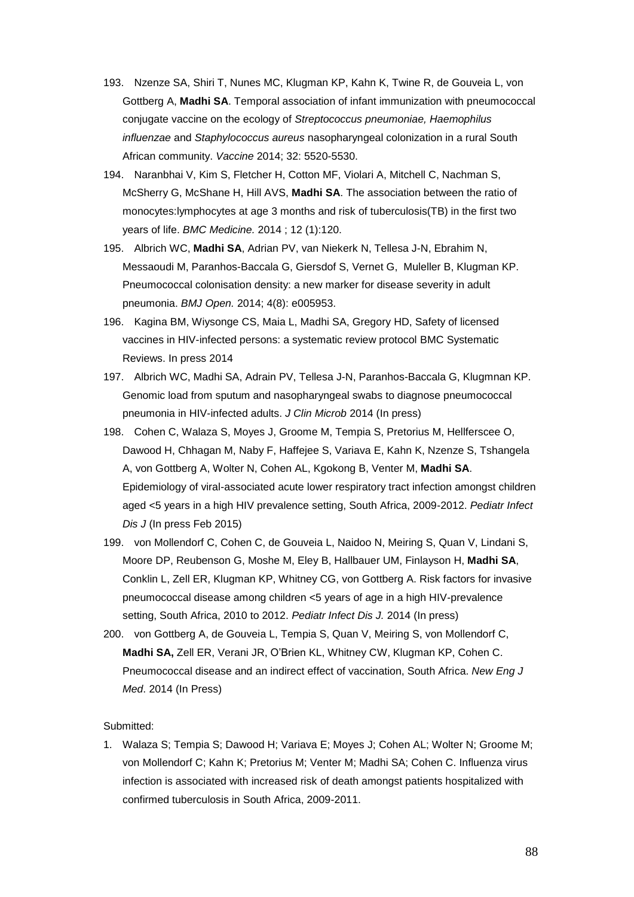- 193. Nzenze SA, Shiri T, Nunes MC, Klugman KP, Kahn K, Twine R, de Gouveia L, von Gottberg A, **Madhi SA**. Temporal association of infant immunization with pneumococcal conjugate vaccine on the ecology of *Streptococcus pneumoniae, Haemophilus influenzae* and *Staphylococcus aureus* nasopharyngeal colonization in a rural South African community. *Vaccine* 2014; 32: 5520-5530.
- 194. Naranbhai V, Kim S, Fletcher H, Cotton MF, Violari A, Mitchell C, Nachman S, McSherry G, McShane H, Hill AVS, **Madhi SA**. The association between the ratio of monocytes:lymphocytes at age 3 months and risk of tuberculosis(TB) in the first two years of life. *BMC Medicine.* 2014 ; 12 (1):120.
- 195. Albrich WC, **Madhi SA**, Adrian PV, van Niekerk N, Tellesa J-N, Ebrahim N, Messaoudi M, Paranhos-Baccala G, Giersdof S, Vernet G, Muleller B, Klugman KP. Pneumococcal colonisation density: a new marker for disease severity in adult pneumonia. *BMJ Open.* 2014; 4(8): e005953.
- 196. Kagina BM, Wiysonge CS, Maia L, Madhi SA, Gregory HD, Safety of licensed vaccines in HIV-infected persons: a systematic review protocol BMC Systematic Reviews. In press 2014
- 197. Albrich WC, Madhi SA, Adrain PV, Tellesa J-N, Paranhos-Baccala G, Klugmnan KP. Genomic load from sputum and nasopharyngeal swabs to diagnose pneumococcal pneumonia in HIV-infected adults. *J Clin Microb* 2014 (In press)
- 198. Cohen C, Walaza S, Moyes J, Groome M, Tempia S, Pretorius M, Hellferscee O, Dawood H, Chhagan M, Naby F, Haffejee S, Variava E, Kahn K, Nzenze S, Tshangela A, von Gottberg A, Wolter N, Cohen AL, Kgokong B, Venter M, **Madhi SA**. Epidemiology of viral-associated acute lower respiratory tract infection amongst children aged <5 years in a high HIV prevalence setting, South Africa, 2009-2012. *Pediatr Infect Dis J* (In press Feb 2015)
- 199. von Mollendorf C, Cohen C, de Gouveia L, Naidoo N, Meiring S, Quan V, Lindani S, Moore DP, Reubenson G, Moshe M, Eley B, Hallbauer UM, Finlayson H, **Madhi SA**, Conklin L, Zell ER, Klugman KP, Whitney CG, von Gottberg A. Risk factors for invasive pneumococcal disease among children <5 years of age in a high HIV-prevalence setting, South Africa, 2010 to 2012. *Pediatr Infect Dis J.* 2014 (In press)
- 200. von Gottberg A, de Gouveia L, Tempia S, Quan V, Meiring S, von Mollendorf C, **Madhi SA,** Zell ER, Verani JR, O'Brien KL, Whitney CW, Klugman KP, Cohen C. Pneumococcal disease and an indirect effect of vaccination, South Africa. *New Eng J Med*. 2014 (In Press)

#### Submitted:

1. Walaza S; Tempia S; Dawood H; Variava E; Moyes J; Cohen AL; Wolter N; Groome M; von Mollendorf C; Kahn K; Pretorius M; Venter M; Madhi SA; Cohen C. Influenza virus infection is associated with increased risk of death amongst patients hospitalized with confirmed tuberculosis in South Africa, 2009-2011.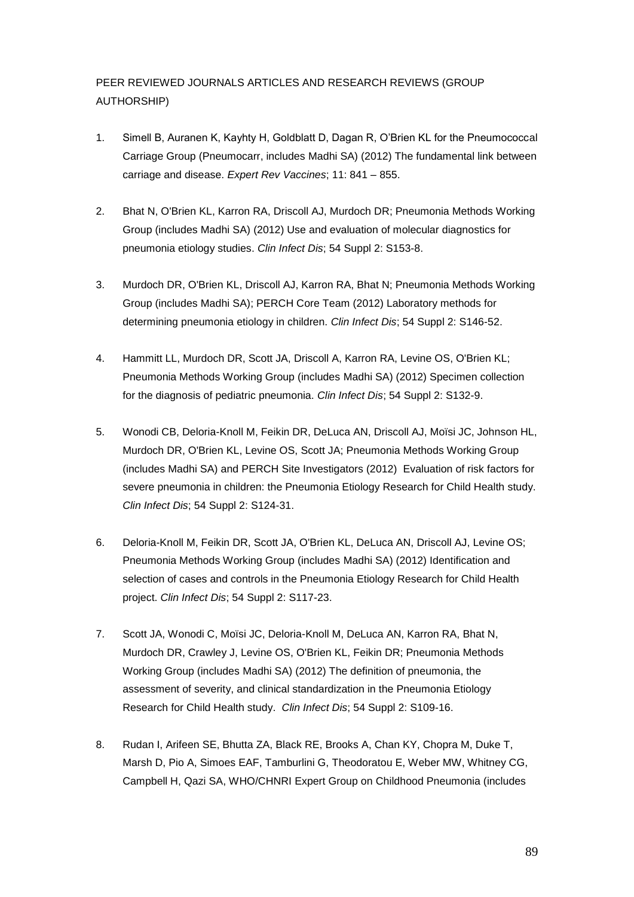# PEER REVIEWED JOURNALS ARTICLES AND RESEARCH REVIEWS (GROUP AUTHORSHIP)

- 1. Simell B, Auranen K, Kayhty H, Goldblatt D, Dagan R, O'Brien KL for the Pneumococcal Carriage Group (Pneumocarr, includes Madhi SA) (2012) The fundamental link between carriage and disease. *Expert Rev Vaccines*; 11: 841 – 855.
- 2. Bhat N, O'Brien KL, Karron RA, Driscoll AJ, Murdoch DR; Pneumonia Methods Working Group (includes Madhi SA) (2012) Use and evaluation of molecular diagnostics for pneumonia etiology studies. *Clin Infect Dis*; 54 Suppl 2: S153-8.
- 3. Murdoch DR, O'Brien KL, Driscoll AJ, Karron RA, Bhat N; Pneumonia Methods Working Group (includes Madhi SA); PERCH Core Team (2012) Laboratory methods for determining pneumonia etiology in children. *Clin Infect Dis*; 54 Suppl 2: S146-52.
- 4. Hammitt LL, Murdoch DR, Scott JA, Driscoll A, Karron RA, Levine OS, O'Brien KL; Pneumonia Methods Working Group (includes Madhi SA) (2012) Specimen collection for the diagnosis of pediatric pneumonia. *Clin Infect Dis*; 54 Suppl 2: S132-9.
- 5. Wonodi CB, Deloria-Knoll M, Feikin DR, DeLuca AN, Driscoll AJ, Moïsi JC, Johnson HL, Murdoch DR, O'Brien KL, Levine OS, Scott JA; Pneumonia Methods Working Group (includes Madhi SA) and PERCH Site Investigators (2012) Evaluation of risk factors for severe pneumonia in children: the Pneumonia Etiology Research for Child Health study. *Clin Infect Dis*; 54 Suppl 2: S124-31.
- 6. Deloria-Knoll M, Feikin DR, Scott JA, O'Brien KL, DeLuca AN, Driscoll AJ, Levine OS; Pneumonia Methods Working Group (includes Madhi SA) (2012) Identification and selection of cases and controls in the Pneumonia Etiology Research for Child Health project. *Clin Infect Dis*; 54 Suppl 2: S117-23.
- 7. Scott JA, Wonodi C, Moïsi JC, Deloria-Knoll M, DeLuca AN, Karron RA, Bhat N, Murdoch DR, Crawley J, Levine OS, O'Brien KL, Feikin DR; Pneumonia Methods Working Group (includes Madhi SA) (2012) The definition of pneumonia, the assessment of severity, and clinical standardization in the Pneumonia Etiology Research for Child Health study. *Clin Infect Dis*; 54 Suppl 2: S109-16.
- 8. Rudan I, Arifeen SE, Bhutta ZA, Black RE, Brooks A, Chan KY, Chopra M, Duke T, Marsh D, Pio A, Simoes EAF, Tamburlini G, Theodoratou E, Weber MW, Whitney CG, Campbell H, Qazi SA, WHO/CHNRI Expert Group on Childhood Pneumonia (includes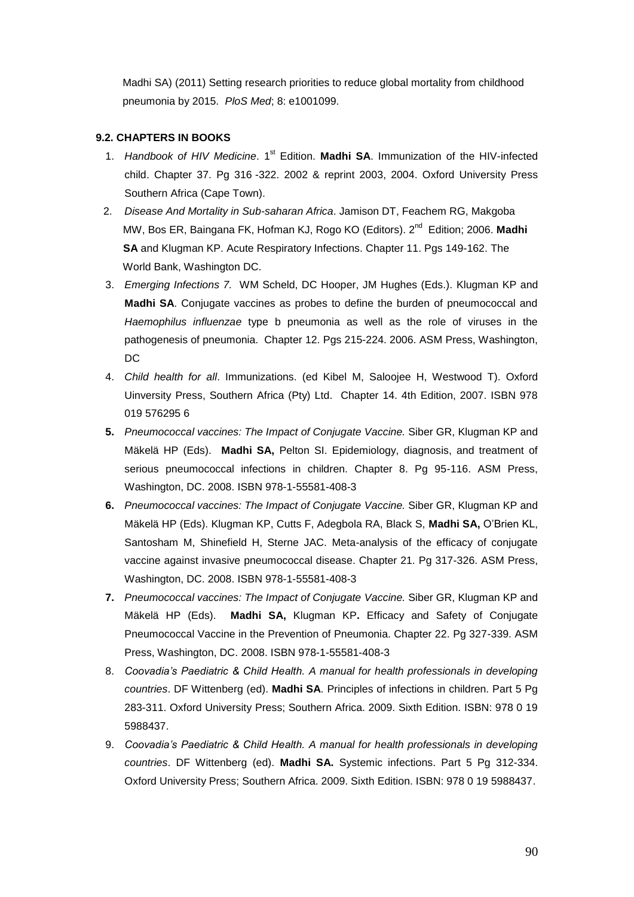Madhi SA) (2011) Setting research priorities to reduce global mortality from childhood pneumonia by 2015. *PloS Med*; 8: e1001099.

### **9.2. CHAPTERS IN BOOKS**

- 1. Handbook of HIV Medicine. 1<sup>st</sup> Edition. Madhi SA. Immunization of the HIV-infected child. Chapter 37. Pg 316 -322. 2002 & reprint 2003, 2004. Oxford University Press Southern Africa (Cape Town).
- 2. *Disease And Mortality in Sub-saharan Africa*. Jamison DT, Feachem RG, Makgoba MW, Bos ER, Baingana FK, Hofman KJ, Rogo KO (Editors). 2<sup>nd</sup> Edition; 2006. Madhi **SA** and Klugman KP. Acute Respiratory Infections. Chapter 11, Pgs 149-162. The World Bank, Washington DC.
- 3. *Emerging Infections 7.* WM Scheld, DC Hooper, JM Hughes (Eds.). Klugman KP and **Madhi SA**. Conjugate vaccines as probes to define the burden of pneumococcal and *Haemophilus influenzae* type b pneumonia as well as the role of viruses in the pathogenesis of pneumonia. Chapter 12. Pgs 215-224. 2006. ASM Press, Washington, DC
- 4. *Child health for all*. Immunizations. (ed Kibel M, Saloojee H, Westwood T). Oxford Uinversity Press, Southern Africa (Pty) Ltd. Chapter 14. 4th Edition, 2007. ISBN 978 019 576295 6
- **5.** *Pneumococcal vaccines: The Impact of Conjugate Vaccine.* Siber GR, Klugman KP and Mäkelä HP (Eds). **Madhi SA,** Pelton SI. Epidemiology, diagnosis, and treatment of serious pneumococcal infections in children. Chapter 8. Pg 95-116. ASM Press, Washington, DC. 2008. ISBN 978-1-55581-408-3
- **6.** *Pneumococcal vaccines: The Impact of Conjugate Vaccine.* Siber GR, Klugman KP and Mäkelä HP (Eds). Klugman KP, Cutts F, Adegbola RA, Black S, **Madhi SA,** O'Brien KL, Santosham M, Shinefield H, Sterne JAC. Meta-analysis of the efficacy of conjugate vaccine against invasive pneumococcal disease. Chapter 21. Pg 317-326. ASM Press, Washington, DC. 2008. ISBN 978-1-55581-408-3
- **7.** *Pneumococcal vaccines: The Impact of Conjugate Vaccine.* Siber GR, Klugman KP and Mäkelä HP (Eds). **Madhi SA,** Klugman KP**.** Efficacy and Safety of Conjugate Pneumococcal Vaccine in the Prevention of Pneumonia. Chapter 22. Pg 327-339. ASM Press, Washington, DC. 2008. ISBN 978-1-55581-408-3
- 8. *Coovadia's Paediatric & Child Health. A manual for health professionals in developing countries*. DF Wittenberg (ed). **Madhi SA**. Principles of infections in children. Part 5 Pg 283-311. Oxford University Press; Southern Africa. 2009. Sixth Edition. ISBN: 978 0 19 5988437.
- 9. *Coovadia's Paediatric & Child Health. A manual for health professionals in developing countries*. DF Wittenberg (ed). **Madhi SA.** Systemic infections. Part 5 Pg 312-334. Oxford University Press; Southern Africa. 2009. Sixth Edition. ISBN: 978 0 19 5988437.